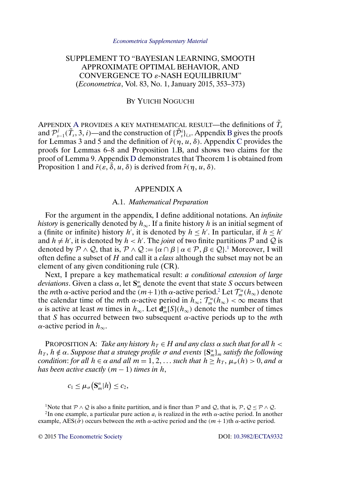# <span id="page-0-0"></span>SUPPLEMENT TO "BAYESIAN LEARNING, SMOOTH APPROXIMATE OPTIMAL BEHAVIOR, AND CONVERGENCE TO ε-NASH EQUILIBRIUM" (*Econometrica*, Vol. 83, No. 1, January 2015, 353–373)

## BY YUICHI NOGUCHI

APPENDIX A PROVIDES A KEY MATHEMATICAL RESULT—the definitions of  $\tilde{T}_s$ and  $\mathcal{P}_{s-1}^j(\tilde{T}_s, 3, i)$ —and the construction of  $\{\tilde{\mathcal{P}}_s^i\}_{i,s}$ . Appendix [B](#page-2-0) gives the proofs for Lemmas 3 and 5 and the definition of  $\hat{r}(\eta, u, \delta)$ . Appendix [C](#page-13-0) provides the proofs for Lemmas 6–8 and Proposition 1.B, and shows two claims for the proof of Lemma 9. Appendix [D](#page-23-0) demonstrates that Theorem 1 is obtained from Proposition 1 and  $\bar{r}(\varepsilon, \bar{\delta}, u, \delta)$  is derived from  $\hat{r}(\eta, u, \delta)$ .

#### APPENDIX A

#### A.1. *Mathematical Preparation*

For the argument in the appendix, I define additional notations. An *infinite history* is generically denoted by  $h_{\infty}$ . If a finite history h is an initial segment of a (finite or infinite) history h', it is denoted by  $h \leq h'$ . In particular, if  $h \leq h'$ and  $h \neq h'$ , it is denoted by  $h < h'$ . The *joint* of two finite partitions P and Q is denoted by  $\mathcal{P} \wedge \mathcal{Q}$ , that is,  $\mathcal{P} \wedge \mathcal{Q} := {\alpha \cap \beta \mid \alpha \in \mathcal{P}, \beta \in \mathcal{Q}}^1$ . Moreover, I will often define a subset of H and call it a *class* although the subset may not be an element of any given conditioning rule (CR).

Next, I prepare a key mathematical result: *a conditional extension of large deviations*. Given a class  $\alpha$ , let  $S_m^{\alpha}$  denote the event that state S occurs between the *m*th  $\alpha$ -active period and the  $(m+1)$ th  $\alpha$ -active period.<sup>2</sup> Let  $\mathcal{T}_m^{\alpha}(h_{\infty})$  denote the calendar time of the *m*th  $\alpha$ -active period in  $h_{\infty}$ ;  $\mathcal{T}_{m}^{\alpha}(h_{\infty}) < \infty$  means that  $\alpha$  is active at least *m* times in  $h_{\infty}$ . Let  $\mathbf{d}_{m}^{\alpha}[S](h_{\infty})$  denote the number of times that S has occurred between two subsequent  $\alpha$ -active periods up to the *mth*  $\alpha$ -active period in  $h_{\infty}$ .

PROPOSITION A: *Take any history*  $h_T \in H$  *and any class*  $\alpha$  *such that for all*  $h <$  $h_T$ ,  $h \notin \alpha$ . *Suppose that a strategy profile*  $\sigma$  *and events*  $\{S_m^{\alpha}\}_m$  *satisfy the following condition: for all*  $h \in \alpha$  *and all*  $m = 1, 2, \ldots$  *such that*  $h \ge h_T$ ,  $\mu_\alpha(h) > 0$ , *and*  $\alpha$ *has been active exactly*  $(m - 1)$  *times in*  $h$ ,

$$
c_1 \leq \mu_\sigma\big(\mathbf{S}_m^{\alpha}|h\big) \leq c_2,
$$

<sup>1</sup>Note that  $P \wedge Q$  is also a finite partition, and is finer than P and Q, that is,  $P$ ,  $Q \le P \wedge Q$ .<br><sup>2</sup>In one example, a particular pure action  $a_i$  is realized in the *mth*  $\alpha$ -active period. In another example, AES( $\hat{\sigma}$ ) occurs between the *m*th  $\alpha$ -active period and the  $(m + 1)$ th  $\alpha$ -active period.

© 2015 [The Econometric Society](http://www.econometricsociety.org/) DOI: [10.3982/ECTA9332](http://dx.doi.org/10.3982/ECTA9332)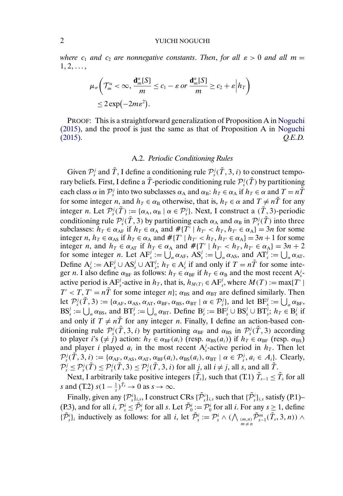<span id="page-1-0"></span>*where*  $c_1$  *and*  $c_2$  *are nonnegative constants. Then, for all*  $\varepsilon > 0$  *and all*  $m =$  $1, 2, \ldots,$ 

$$
\mu_{\sigma}\bigg(\mathcal{T}_{m}^{\alpha} < \infty, \frac{\mathbf{d}_{m}^{\alpha}[S]}{m} \leq c_{1} - \varepsilon \text{ or } \frac{\mathbf{d}_{m}^{\alpha}[S]}{m} \geq c_{2} + \varepsilon \Big| h_{T} \bigg) \\ \leq 2 \exp\left(-2m\varepsilon^{2}\right).
$$

PROOF: This is a straightforward generalization of Proposition A in [Noguchi](#page-24-0) [\(2015\),](#page-24-0) and the proof is just the same as that of Proposition A in [Noguchi](#page-24-0) [\(2015\).](#page-24-0) *Q.E.D.*

#### A.2. *Periodic Conditioning Rules*

Given  $\mathcal{P}_s^j$  and  $\tilde{T}$ , I define a conditioning rule  $\mathcal{P}_s^j(\tilde{T}, 3, i)$  to construct temporary beliefs. First, I define a  $\tilde{T}$ -periodic conditioning rule  $\mathcal{P}^j_s(\tilde{T})$  by partitioning each class  $\alpha$  in  $\mathcal{P}_s^j$  into two subclasses  $\alpha_A$  and  $\alpha_B$ :  $h_T \in \alpha_A$  if  $h_T \in \alpha$  and  $T = n\tilde{T}$ for some integer n, and  $h_T \in \alpha_B$  otherwise, that is,  $h_T \in \alpha$  and  $T \neq n\tilde{T}$  for any integer *n*. Let  $\mathcal{P}_s^j(\tilde{T}) := {\alpha_A, \alpha_B \mid \alpha \in \mathcal{P}_s^j}$ . Next, I construct a  $(\tilde{T}, \tilde{J})$ -periodic conditioning rule  $\mathcal{P}_s^j(\tilde{T}, 3)$  by partitioning each  $\alpha_A$  and  $\alpha_B$  in  $\mathcal{P}_s^j(\tilde{T})$  into three subclasses:  $h_T \in \alpha_{AF}$  if  $h_T \in \alpha_A$  and  $#{T'} \mid h_{T'} < h_T, h_{T'} \in \alpha_A$  = 3n for some integer n,  $h_T \in \alpha_{AS}$  if  $h_T \in \alpha_A$  and  $# \{T' \mid h_{T'} < h_T, h_{T'} \in \alpha_A\} = 3n + 1$  for some integer *n*, and  $h_T \in \alpha_{AT}$  if  $h_T \in \alpha_A$  and  $#{T' | h_{T'} < h_T, h_{T'} \in \alpha_A} = 3n + 2$ for some integer *n*. Let  $AF_s^j := \bigcup_{\alpha} \alpha_{AF}$ ,  $AS_s^j := \bigcup_{\alpha} \alpha_{AS}$ , and  $AT_s^j := \bigcup_{\alpha} \alpha_{AT}$ . Define  $A_s^j := AF_s^j \cup AS_s^j \cup AT_s^j$ ;  $h_T \in A_s^j$  if and only if  $T = n\tilde{T}$  for some integer *n*. I also define  $\alpha_{BF}$  as follows:  $h_T \in \alpha_{BF}$  if  $h_T \in \alpha_B$  and the most recent  $A_s^j$ active period is  $AF_s^j$ -active in  $h_T$ , that is,  $h_{M(T)} \in AF_s^j$ , where  $M(T) := \max\{T' \mid$  $T' < T$ ,  $T' = n\tilde{T}$  for some integer n;  $\alpha_{BS}$  and  $\alpha_{BT}$  are defined similarly. Then let  $\mathcal{P}_s^j(\tilde{T}, 3) := {\alpha_{AF}, \alpha_{AS}, \alpha_{AT}, \alpha_{BF}, \alpha_{BS}, \alpha_{BT} | \alpha \in \mathcal{P}_s^j}, \text{ and let } BF_s^j := \bigcup_{\alpha} \alpha_{BF},$  $BS_s^j := \bigcup_{\alpha} \alpha_{BS}$ , and  $BT_s^j := \bigcup_{\alpha} \alpha_{BT}$ . Define  $B_s^j := BF_s^j \cup BS_s^j \cup BT_s^j$ ;  $h_T \in B_s^j$  if and only if  $T \neq n\tilde{T}$  for any integer *n*. Finally, I define an action-based conditioning rule  $\mathcal{P}_s^j(\tilde{T},3,i)$  by partitioning  $\alpha_{\text{BF}}$  and  $\alpha_{\text{BS}}$  in  $\mathcal{P}_s^j(\tilde{T},3)$  according to player i's ( $\neq j$ ) action:  $h_T \in \alpha_{BF}(a_i)$  (resp.  $\alpha_{BS}(a_i)$ ) if  $h_T \in \alpha_{BF}$  (resp.  $\alpha_{BS}$ ) and player *i* played  $a_i$  in the most recent  $A_s^j$ -active period in  $h_T$ . Then let  $\mathcal{P}_s^j(\tilde{T}, 3, i) := {\alpha_{AF}, \alpha_{AS}, \alpha_{AT}, \alpha_{BF}(a_i), \alpha_{BS}(a_i), \alpha_{BT} | \alpha \in \mathcal{P}_s^j, a_i \in A_i}$ . Clearly,  $\mathcal{P}_{s}^{j} \leq \mathcal{P}_{s}^{j}(\tilde{T}) \leq \mathcal{P}_{s}^{j}(\tilde{T},3) \leq \mathcal{P}_{s}^{j}(\tilde{T},3,i)$  for all  $j$ , all  $i \neq j$ , all  $s$ , and all  $\tilde{T}$ .

Next, I arbitrarily take positive integers  $\{\tilde{T}_s\}_s$  such that (T.1)  $\tilde{T}_{s-1} \leq \tilde{T}_s$  for all s and (T.2)  $s(1-\frac{1}{s})^{\tilde{T}_s} \to 0$  as  $s \to \infty$ .

Finally, given any  $\{\mathcal{P}_s^i\}_{i,s}$ , I construct CRs  $\{\tilde{\mathcal{P}}_s^i\}_{i,s}$  such that  $\{\tilde{\mathcal{P}}_s^i\}_{i,s}$  satisfy (P.1)– (P.3), and for all  $i, \mathcal{P}_s^i \leq \tilde{\mathcal{P}}_s^i$  for all s. Let  $\tilde{\mathcal{P}}_0^i := \mathcal{P}_0^i$  for all i. For any  $s \geq 1$ , define  $\{\tilde{\mathcal{P}}^i_s\}_i$  inductively as follows: for all i, let  $\tilde{\mathcal{P}}^i_s := \mathcal{P}^i_s \wedge (\bigwedge_{\substack{(m,n) \ m \neq n}} \tilde{\mathcal{P}}^m_{s-1}(\tilde{T}_s,3,n)) \wedge$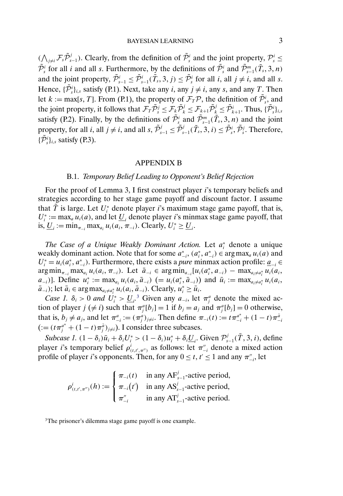<span id="page-2-0"></span> $(\bigwedge_{j\neq i} \mathcal{F}_s \tilde{\mathcal{P}}_{s-1}^j)$ . Clearly, from the definition of  $\tilde{\mathcal{P}}_s^i$  and the joint property,  $\mathcal{P}_s^i \leq$  $\tilde{\mathcal{P}}_s^i$  for all *i* and all *s*. Furthermore, by the definitions of  $\tilde{\mathcal{P}}_s^i$  and  $\tilde{\mathcal{P}}_{s-1}^m(\tilde{T}_s,3,n)$ and the joint property,  $\tilde{\mathcal{P}}_{s-1}^i \leq \tilde{\mathcal{P}}_{s-1}^i(\tilde{T}_s, 3, j) \leq \tilde{\mathcal{P}}_s^i$  for all  $i$ , all  $j \neq i$ , and all s. Hence,  $\{\tilde{\mathcal{P}}_s^i\}_{i,s}$  satisfy (P.1). Next, take any *i*, any *j*  $\neq$  *i*, any *s*, and any *T*. Then let  $k := \max[s, T]$ . From (P.1), the property of  $\mathcal{F}_T \mathcal{P}$ , the definition of  $\tilde{\mathcal{P}}_{s}^i$ , and the joint property, it follows that  $\mathcal{F}_T \tilde{\mathcal{P}}_s^j \leq \mathcal{F}_k \tilde{\mathcal{P}}_k^j \leq \mathcal{F}_{k+1} \tilde{\mathcal{P}}_k^j \leq \tilde{\mathcal{P}}_{k+1}^i$ . Thus,  $\{\tilde{\mathcal{P}}_s^i\}_{i,s}$ satisfy (P.2). Finally, by the definitions of  $\tilde{\mathcal{P}}_{s}^{i}$  and  $\tilde{\mathcal{P}}_{s-1}^{m}(\tilde{T}_{s},3,n)$  and the joint property, for all *i*, all  $j \neq i$ , and all *s*,  $\tilde{\mathcal{P}}_{s-1}^j \leq \tilde{\mathcal{P}}_{s-1}^j(\tilde{T}_s, 3, i) \leq \tilde{\mathcal{P}}_s^i$ . Therefore,  $\{\tilde{\mathcal{P}}_s^i\}_{i,s}$  satisfy (P.3).

#### APPENDIX B

## B.1. *Temporary Belief Leading to Opponent's Belief Rejection*

For the proof of Lemma 3, I first construct player *i*'s temporary beliefs and strategies according to her stage game payoff and discount factor. I assume that  $\tilde{T}$  is large. Let  $U_i^*$  denote player *i*'s maximum stage game payoff, that is,  $U_i^* := \max_a u_i(a)$ , and let  $\underline{U}_i$  denote player *i*'s minmax stage game payoff, that is,  $\underline{U}_i := \min_{\pi_{-i}} \max_{a_i} u_i(a_i, \pi_{-i})$ . Clearly,  $U_i^* \ge \underline{U}_i$ .

*The Case of a Unique Weakly Dominant Action.* Let a<sup>∗</sup> <sup>i</sup> denote a unique weakly dominant action. Note that for some  $a_{-i}^*$ ,  $(a_i^*, a_{-i}^*) \in \arg \max_a u_i(a)$  and  $U_i^* = u_i(a_i^*, a_{-i}^*)$ . Furthermore, there exists a *pure* minmax action profile:  $\underline{a}_{-i}$  $\arg \min_{\pi_{-i}} \max_{a_i} u_i(a_i, \pi_{-i})$ . Let  $\bar{a}_{-i} \in \arg \min_{a_{-i}} [u_i(a_i^*, a_{-i}) - \max_{a_i \neq a_i^*} u_i(a_i, a_{-i})]$  $[a_{-i})]$ . Define  $u_i^* := \max_{a_i} u_i(a_i, \bar{a}_{-i})$   $(= u_i(a_i^*, \bar{a}_{-i}))$  and  $\bar{u}_i := \max_{a_i \neq a_i^*} u_i(a_i, \bar{a}_{-i})$  $\bar{a}_{-i}$ ); let  $\bar{a}_i \in \arg \max_{a_i \neq a_i^*} u_i(a_i, \bar{a}_{-i})$ . Clearly,  $u_i^* \ge \bar{u}_i$ .

*Case 1.*  $\delta_i > 0$  *and*  $U_i^* > \underline{U}_i$ <sup>3</sup> Given any  $a_{-i}$ , let  $\pi_i^a$  denote the mixed action of player  $j \neq i$ ) such that  $\pi_j^a[b_j] = 1$  if  $b_j = a_j$  and  $\pi_j^a[b_j] = 0$  otherwise, that is,  $b_j \neq a_j$ , and let  $\pi_{-i}^a := (\pi_j^a)_{j \neq i}$ . Then define  $\pi_{-i}(t) := t \pi_{-i}^{a^*} + (1 - t) \pi_{-i}^{\bar{a}}$  $( := (t \pi_j^{a^*} + (1 - t) \pi_j^{\bar{a}})_{j \neq i}).$  I consider three subcases.

*Subcase 1.*  $(1 - \delta_i)\bar{u}_i + \delta_i U_i^* > (1 - \delta_i)u_i^* + \delta_i \underline{U}_i$ . Given  $\mathcal{P}_{s-1}^j(\tilde{T}, 3, i)$ , define player *i*'s temporary belief  $\rho_{(t,t',\pi'')}^i$  as follows: let  $\pi_{-i}''$  denote a mixed action profile of player *i*'s opponents. Then, for any  $0 \le t$ ,  $t' \le 1$  and any  $\pi_{-i}^{\prime\prime}$ , let

$$
\rho_{(t,t',\pi'')}^i(h) := \begin{cases} \pi_{-i}(t) & \text{in any } AF_{s-1}^j \text{-active period,} \\ \pi_{-i}(t') & \text{in any } AS_{s-1}^j \text{-active period,} \\ \pi_{-i}'' & \text{in any } AF_{s-1}^j \text{-active period.} \end{cases}
$$

<sup>3</sup>The prisoner's dilemma stage game payoff is one example.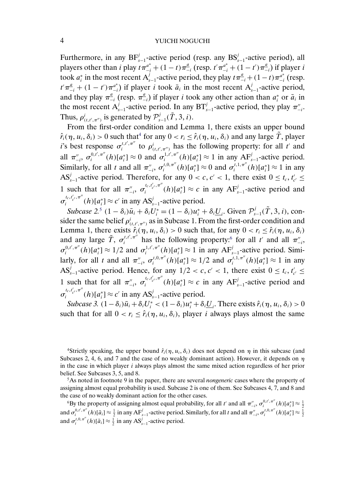<span id="page-3-0"></span>Furthermore, in any  $BF_{s-1}^{j}$ -active period (resp. any  $BS_{s-1}^{j}$ -active period), all players other than *i* play  $t\pi_{-i}^{a^*} + (1-t)\pi_{-i}^a$  (resp.  $t'\pi_{-i}^{a^*} + (1-t')\pi_{-i}^a$ ) if player *i* took  $a_i^*$  in the most recent  $A_{s-1}^j$ -active period, they play  $t \pi_{-i}^a + (1-t) \pi_{-i}^{a^*}$  (resp.  $t'\pi_{-i}^{\underline{a}} + (1-t')\pi_{-i}^{a^*}$ ) if player *i* took  $\bar{a}_i$  in the most recent  $A_{s-1}^j$ -active period, and they play  $\pi_{-i}^{\underline{a}}$  (resp.  $\pi_{-i}^{\underline{a}}$ ) if player *i* took any other action than  $a_i^*$  or  $\bar{a}_i$  in the most recent  $A_{s-1}^j$ -active period. In any  $BT_{s-1}^j$ -active period, they play  $\pi_{-i}^{\prime\prime}$ . Thus,  $\rho^i_{(t,t',\pi'')}$  is generated by  $\mathcal{P}^j_{s-1}(\tilde{T},3,i)$ .

From the first-order condition and Lemma 1, there exists an upper bound  $\hat{r}_i(\eta, u_i, \delta_i) > 0$  such that<sup>4</sup> for any  $0 < r_i \leq \hat{r}_i(\eta, u_i, \delta_i)$  and any large  $\tilde{T}$ , player i's best response  $\sigma_i^{t,t',\pi''}$  to  $\rho_{(t,t',\pi'')}^i$  has the following property: for all t' and all  $\pi_{-i}^{\prime\prime}$ ,  $\sigma_i^{0,t',\pi}$ <sup>"</sup> $(h)[a_i^*] \approx 0$  and  $\sigma_i^{1,t',\pi}$ " $(h)[a_i^*] \approx 1$  in any AF<sub>s-1</sub>-active period. Similarly, for all t and all  $\pi_{-i}^{\prime\prime}$ ,  $\sigma_i^{t,0,\pi^{\prime\prime}}(h)[a_i^*] \approx 0$  and  $\sigma_i^{t,1,\pi^{\prime\prime}}(h)[a_i^*] \approx 1$  in any AS<sup>j</sup><sub>s-1</sub>-active period. Therefore, for any  $0 < c, c' < 1$ , there exist  $0 \le t_c, t'_{c'} \le$ 1 such that for all  $\pi''_{-i}$ ,  $\sigma_i^{t_c, t'_{c'}, \pi''}(h)[a_i^*] \approx c$  in any  $AF_{s-1}^j$ -active period and  $\sigma_i^{t_c, t'_{c'}, \pi''}(h)[a_i^*] \approx c'$  in any AS<sup>*j*</sup><sub>s-1</sub>-active period.

*Subcase* 2.<sup>5</sup>  $(1 - \delta_i)\bar{u}_i + \delta_i U_i^* = (1 - \delta_i)u_i^* + \delta_i \underline{U}_i$ . Given  $\mathcal{P}_{s-1}^j(\tilde{T}, 3, i)$ , consider the same belief  $\rho_{(t,t',\pi'')}^i$  as in Subcase 1. From the first-order condition and Lemma 1, there exists  $\hat{r}_i(\eta, u_i, \delta_i) > 0$  such that, for any  $0 < r_i \leq \hat{r}_i(\eta, u_i, \delta_i)$ and any large  $\tilde{T}$ ,  $\sigma_i^{t,t',\pi''}$  has the following property:<sup>6</sup> for all t' and all  $\pi''_{-i}$ ,  $\sigma_i^{0,t',\pi''}(h)[a_i^*] \approx 1/2$  and  $\sigma_i^{1,t',\pi''}(h)[a_i^*] \approx 1$  in any A $F_{s-1}^j$ -active period. Similarly, for all t and all  $\pi_{-i}^{\prime\prime}$ ,  $\sigma_i^{t,0,\pi^{\prime\prime}}(h)[a_i^*] \approx 1/2$  and  $\sigma_i^{t,1,\pi^{\prime\prime}}(h)[a_i^*] \approx 1$  in any AS<sup>j</sup><sub>s-1</sub>-active period. Hence, for any  $1/2 < c, c' < 1$ , there exist  $0 \le t_c, t'_{c'} \le$ 1 such that for all  $\pi''_{-i}$ ,  $\sigma_i^{t_c, t'_{c'}, \pi''}(h)[a_i^*] \approx c$  in any  $AF_{s-1}^j$ -active period and  $\sigma_i^{t_c, t'_{c'}, \pi''}(h)[a_i^*] \approx c'$  in any  $AS_{s-1}^j$ -active period.

*Subcase 3.*  $(1 - \delta_i)\bar{u}_i + \delta_i U_i^* < (1 - \delta_i)u_i^* + \delta_i \underline{U}_i$ . There exists  $\hat{r}_i(\eta, u_i, \delta_i) > 0$ such that for all  $0 < r_i \leq \hat{r}_i(\eta, u_i, \delta_i)$ , player *i* always plays almost the same

<sup>4</sup>Strictly speaking, the upper bound  $\hat{r}_i(\eta, u_i, \delta_i)$  does not depend on  $\eta$  in this subcase (and Subcases 2, 4, 6, and 7 and the case of no weakly dominant action). However, it depends on  $\eta$ in the case in which player  $i$  always plays almost the same mixed action regardless of her prior belief. See Subcases 3, 5, and 8.

5As noted in footnote 9 in the paper, there are several *nongeneric* cases where the property of assigning almost equal probability is used. Subcase 2 is one of them. See Subcases 4, 7, and 8 and the case of no weakly dominant action for the other cases.

<sup>6</sup>By the property of assigning almost equal probability, for all t' and all  $\pi''_{-i}$ ,  $\sigma_i^{0,t',\pi''}(h)[a_i^*] \approx \frac{1}{2}$ and  $\sigma_i^{0,t',\pi''}(h)[\bar{a}_i] \approx \frac{1}{2}$  in any A $F_{s-1}^j$ -active period. Similarly, for all t and all  $\pi_{-i}'$ ,  $\sigma_i^{t,0,\pi''}(h)[a_i^*] \approx \frac{1}{2}$ and  $\sigma_i^{t,0,\pi''}(h)[\bar{a}_i] \approx \frac{1}{2}$  in any AS<sup>*j*</sup><sub>s-1</sub>-active period.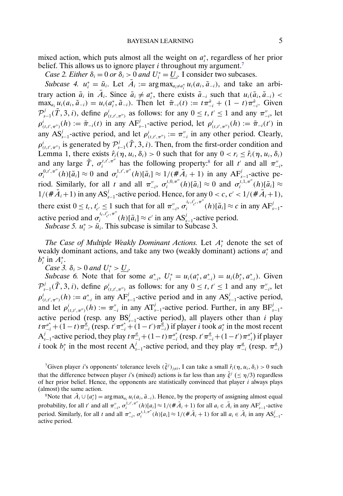mixed action, which puts almost all the weight on  $a_i^*$ , regardless of her prior belief. This allows us to ignore player  $i$  throughout my argument.<sup>7</sup>

*Case 2. Either*  $\delta_i = 0$  *or*  $\delta_i > 0$  *and*  $U_i^* = \underline{U_i}$ . I consider two subcases.

*Subcase 4.*  $u_i^* = \bar{u}_i$ . Let  $\bar{A}_i := \arg \max_{a_i \neq a_i^*} u_i(a_i, \bar{a}_{-i})$ , and take an arbitrary action  $\bar{a}_i$  in  $\bar{A}_i$ . Since  $\bar{a}_i \neq a_i^*$ , there exists  $\tilde{a}_{-i}$  such that  $u_i(\bar{a}_i, \tilde{a}_{-i})$  $\max_{a_i} u_i(a_i, \tilde{a}_{-i}) = u_i(a_i^*, \tilde{a}_{-i}).$  Then let  $\bar{\pi}_{-i}(t) := t\pi_{-i}^{\bar{a}} + (1-t)\pi_{-i}^{\tilde{a}}$ . Given  $\mathcal{P}_{s-1}^j(\tilde{T},3,i)$ , define  $\rho_{(t,t',\pi'')}^i$  as follows: for any  $0 \le t, t' \le 1$  and any  $\pi_{-i}''$ , let  $\rho_{(t,t',\pi'')}^i(h) := \overline{\pi}_{-i}(t)$  in any  $AF_{s-1}^j$ -active period, let  $\rho_{(t,t',\pi'')}^i(h) := \overline{\pi}_{-i}(t')$  in any AS<sup>j</sup><sub>s-1</sub>-active period, and let  $\rho_{(t,t',\pi'')}^i := \pi_{-i}''$  in any other period. Clearly,  $\rho_{(t,t',\pi'')}^i$  is generated by  $\mathcal{P}_{s-1}^j(\tilde{T},3,i)$ . Then, from the first-order condition and Lemma 1, there exists  $\hat{r}_i(\eta, u_i, \delta_i) > 0$  such that for any  $0 < r_i \leq \hat{r}_i(\eta, u_i, \delta_i)$ and any large  $\tilde{T}$ ,  $\sigma_i^{t,t',\pi''}$  has the following property:<sup>8</sup> for all t' and all  $\pi''_{-i}$ ,  $\sigma_i^{0,t',\pi''}(h)[\bar{a}_i] \approx 0$  and  $\sigma_i^{1,t',\pi''}(h)[\bar{a}_i] \approx 1/(\# \bar{A}_i + 1)$  in any AF<sub>s-1</sub>-active period. Similarly, for all t and all  $\pi_{-i}^{n}$ ,  $\sigma_i^{t,0,\pi^n}(h)[\bar{a}_i] \approx 0$  and  $\sigma_i^{t,1,\pi^n}(h)[\bar{a}_i] \approx$  $1/(\# \bar{A}_i+1)$  in any  $AS'_{s-1}$ -active period. Hence, for any  $0 < c, c' < 1/(\# \bar{A}_i+1)$ , there exist  $0 \le t_c$ ,  $t'_{c'} \le 1$  such that for all  $\pi''_{-i}$ ,  $\sigma_i^{t_c, t'_{c'}, \pi''}(h)[\bar{a}_i] \approx c$  in any  $AF'_{s-1}$ active period and  $\sigma_i^{t_c, t'_{c'}, \pi''}(h)[\bar{a}_i] \approx c'$  in any  $AS_{s-1}^j$ -active period.

*Subcase 5.*  $u_i^* > \bar{u}_i$ . This subcase is similar to Subcase 3.

*The Case of Multiple Weakly Dominant Actions.* Let A<sup>∗</sup> <sup>i</sup> denote the set of weakly dominant actions, and take any two (weakly dominant) actions  $a_i^*$  and  $b_i^*$  in  $A_i^*$ .

*Case* 3.  $\delta_i > 0$  *and*  $U_i^* > U_i$ .

*Subcase 6.* Note that for some  $a_{-i}^*$ ,  $U_i^* = u_i(a_i^*, a_{-i}^*) = u_i(b_i^*, a_{-i}^*)$ . Given  $\mathcal{P}_{s-1}^j(\tilde{T},3,i)$ , define  $\rho_{(t,t',\pi'')}^i$  as follows: for any  $0 \le t, t' \le 1$  and any  $\pi_{-i}''$ , let  $\rho_{(t,t',\pi'')}^i(h) := a_{-i}^*$  in any A $F_{s-1}^j$ -active period and in any A $S_{s-1}^j$ -active period, and let  $\rho^i_{(t,t',\pi'')}(h) := \pi''_{-i}$  in any  $AT'_{s-1}$ -active period. Further, in any  $BF'_{s-1}$ active period (resp. any  $BS_{s-1}^j$ -active period), all players other than i play  $t\pi_{-i}^{a^*} + (1-t)\pi_{-i}^{a}$  (resp.  $t'\pi_{-i}^{a^*} + (1-t')\pi_{-i}^{a}$ ) if player i took  $a_i^*$  in the most recent  $A_{s-1}^j$ -active period, they play  $t\pi_{-i}^a+(1-t)\pi_{-i}^{a^*}$  (resp.  $t'\pi_{-i}^a+(1-t')\pi_{-i}^{a^*}$ ) if player *i* took  $b_i^*$  in the most recent  $A_{s-1}^j$ -active period, and they play  $\pi_{-i}^a$  (resp.  $\pi_{-i}^a$ )

<sup>7</sup>Given player *i*'s opponents' tolerance levels  $(\bar{\xi}^j)_{j\neq i}$ , I can take a small  $\hat{r}_i(\eta, u_i, \delta_i) > 0$  such that the difference between player i's (mixed) actions is far less than any  $\bar{\xi}^j$  ( $\leq \eta/3$ ) regardless of her prior belief. Hence, the opponents are statistically convinced that player  $i$  always plays (almost) the same action.

<sup>8</sup>Note that  $\bar{A}_i \cup \{a_i^*\} = \arg \max_{a_i} u_i(a_i, \bar{a}_{-i})$ . Hence, by the property of assigning almost equal probability, for all t' and all  $\pi''_{-i}$ ,  $\sigma_i^{1,t',\pi''}(h)[a_i] \approx 1/(\# \bar{A}_i + 1)$  for all  $a_i \in \bar{A}_i$  in any  $AF_{s-1}^j$ -active period. Similarly, for all t and all  $\pi''_{-i}$ ,  $\sigma_i^{t,1,\pi''}(h)[a_i] \approx 1/(\# \bar{A}_i + 1)$  for all  $a_i \in \bar{A}_i$  in any  $AS_{s-1}^j$ active period.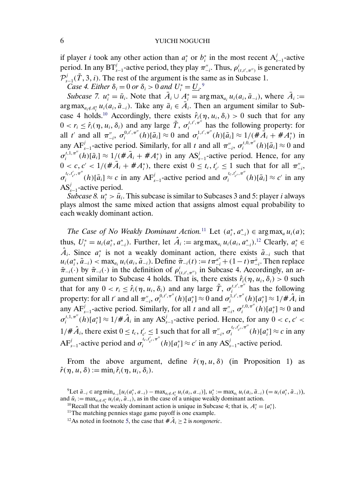if player *i* took any other action than  $a_i^*$  or  $b_i^*$  in the most recent  $A_{s-1}^j$ -active period. In any  $BT'_{s-1}$ -active period, they play  $\pi''_{-i}$ . Thus,  $\rho^i_{(t,t',\pi'')}$  is generated by  $\mathcal{P}_{s-1}^j(\tilde{T}, 3, i)$ . The rest of the argument is the same as in Subcase 1.

*Case 4. Either*  $\delta_i = 0$  *or*  $\delta_i > 0$  *and*  $U_i^* = \underline{U_i}$ .<sup>9</sup>

*Subcase 7.*  $u_i^* = \bar{u}_i$ . Note that  $\bar{A}_i \cup \bar{A}_i^* = \arg \max_{a_i} u_i(a_i, \bar{a}_{-i})$ , where  $\bar{A}_i :=$ arg max<sub>a<sub>i</sub>∉<sub>A</sub><sup>\*</sup></sup>  $u_i(a_i, \bar{a}_{-i})$ . Take any  $\bar{a}_i \in \bar{A}_i$ . Then an argument similar to Sub-</sub> case 4 holds.<sup>10</sup> Accordingly, there exists  $\hat{r}_i(\eta, u_i, \delta_i) > 0$  such that for any  $0 < r_i \leq \hat{r}_i(\eta, u_i, \delta_i)$  and any large  $\tilde{T}, \sigma_i^{t, t', \pi^{t'}}$  has the following property: for all t' and all  $\pi_{-i}^{n}$ ,  $\sigma_{i}^{0,t',\pi^{n}}(h)[\bar{a}_{i}] \approx 0$  and  $\sigma_{i}^{1,t',\pi^{n}}(h)[\bar{a}_{i}] \approx 1/(\# \bar{A}_{i} + \# A_{i}^{*})$  in any AF<sup>*j*</sup><sub>s−1</sub>-active period. Similarly, for all t and all  $\pi_{-i}^{n}$ ,  $\sigma_i^{t,0,\pi}(h)[\bar{a}_i] \approx 0$  and  $\sigma_i^{t,1,\pi''}(h)[\bar{a}_i] \approx 1/(\# \bar{A}_i + \# A_i^*)$  in any  $AS_{s-1}^j$ -active period. Hence, for any  $0 < c, c' < 1/(\#\overline{A}_i + \#A_i^*)$ , there exist  $0 \leq t_c, t'_{c'} \leq 1$  such that for all  $\pi_{-i}^{''},$  $\sigma_i^{t_c,t'_{c'},\pi''}(h)[\bar{a}_i] \approx c$  in any  $AF_{s-1}^j$ -active period and  $\sigma_i^{t_c,t'_{c'},\pi''}(h)[\bar{a}_i] \approx c'$  in any AS $_{s-1}^{j}$ -active period.

*Subcase 8.*  $u_i^* > \bar{u}_i$ . This subcase is similar to Subcases 3 and 5: player *i* always plays almost the same mixed action that assigns almost equal probability to each weakly dominant action.

*The Case of No Weakly Dominant Action.*<sup>11</sup> Let  $(a_i^*, a_{-i}^*) \in \arg \max_a u_i(a)$ ; thus,  $U_i^* = u_i(a_i^*, a_{-i}^*)$ . Further, let  $\hat{A}_i := \arg \max_{a_i} u_i(a_i, a_{-i}^*)$ .<sup>12</sup> Clearly,  $a_i^* \in$  $\hat{A}_i$ . Since  $a_i^*$  is not a weakly dominant action, there exists  $\tilde{a}_{-i}$  such that  $u_i(a_i^*, \tilde{a}_{-i})$  < max<sub>a<sub>i</sub></sub>  $u_i(a_i, \tilde{a}_{-i})$ . Define  $\tilde{\pi}_{-i}(t) := t \pi_{-i}^{a^*} + (1-t) \pi_{-i}^{\tilde{a}}$ . Then replace  $\bar{\pi}_{-i}(\cdot)$  by  $\tilde{\pi}_{-i}(\cdot)$  in the definition of  $\rho_{(t,t',\pi'')}^{i}$  in Subcase 4. Accordingly, an argument similar to Subcase 4 holds. That is, there exists  $\hat{r}_i(\eta, u_i, \delta_i) > 0$  such that for any  $0 < r_i \leq \hat{r}_i(\eta, u_i, \delta_i)$  and any large  $\tilde{T}$ ,  $\sigma_i^{t, t', \pi''}$  has the following property: for all t' and all  $\pi_{-i}^{\prime\prime}$ ,  $\sigma_i^{0,t',\pi^{\prime\prime}}(h)[a_i^*] \approx 0$  and  $\sigma_i^{1,t',\pi^{\prime\prime}}(h)[a_i^*] \approx 1/\#\hat{A}_i$  in any AF<sup>j</sup><sub>s-1</sub>-active period. Similarly, for all t and all  $\pi_{-i}^{n}$ ,  $\sigma_i^{t,0,\pi}(h)[a_i^*] \approx 0$  and  $\sigma_i^{t,1,\pi''}(h)[a_i^*] \approx 1/\#\hat{A}_i$  in any  $AS_{s-1}^j$ -active period. Hence, for any  $0 < c, c' <$  $1/\hat{\pi} \hat{A}_i$ , there exist  $0 \le t_c$ ,  $t'_{c'} \le 1$  such that for all  $\pi''_{-i}$ ,  $\sigma_i^{t_c, t'_{c'}, \pi''}(h)[a_i^*] \approx c$  in any  $AF'_{s-1}$ -active period and  $\sigma_i^{i_c, t'_{c'}}, \pi''(h)[a_i^*] \approx c'$  in any  $AS'_{s-1}$ -active period.

From the above argument, define  $\hat{r}(\eta, u, \delta)$  (in Proposition 1) as  $\hat{r}(\eta, u, \delta) := \min_i \hat{r}_i(\eta, u_i, \delta_i).$ 

 ${}^{9}$ Let  $\bar{a}_{-i} \in \arg \min_{a_{-i}} [u_i(a_i^*, a_{-i}) - \max_{a_i \notin A_i^*} u_i(a_i, a_{-i})], u_i^* := \max_{a_i} u_i(a_i, \bar{a}_{-i}) (= u_i(a_i^*, \bar{a}_{-i})),$ and  $\bar{u}_i := \max_{a_i \notin A_i^*} u_i(a_i, \bar{a}_{-i})$ , as in the case of a unique weakly dominant action.

d  $\bar{u}_i := \max_{a_i \notin A_i^*} u_i(a_i, \bar{a}_{-i})$ , as in the case of a unique weakly dominant action. <sup>10</sup>Recall that the weakly dominant action is unique in Subcase 4; that is,  $A_i^* = \{a_i^*\}\$ . <sup>11</sup>The matching pennies stage game pay

<sup>&</sup>lt;sup>12</sup>As noted in footnote [5,](#page-3-0) the case that  $\#\hat{A}_i \geq 2$  is *nongeneric*.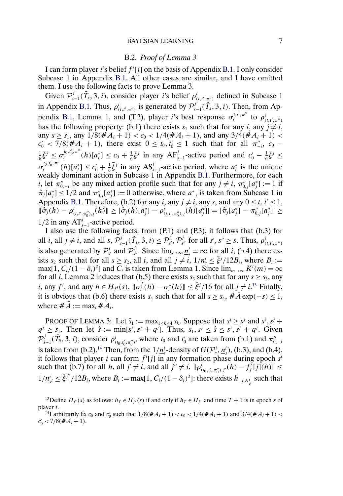#### B.2. *Proof of Lemma 3*

I can form player i's belief  $f^i[j]$  on the basis of Appendix [B.1.](#page-2-0) I only consider Subcase 1 in Appendix [B.1.](#page-2-0) All other cases are similar, and I have omitted them. I use the following facts to prove Lemma 3.

Given  $\mathcal{P}_{s-1}^j(\tilde{T}_s,3,i)$ , consider player *i*'s belief  $\rho_{(t,t',\tau_{s'}^{n'})}^i$  defined in Subcase 1 in Appendix [B.1.](#page-2-0) Thus,  $\rho^i_{(t,t',\pi'')}$  is generated by  $\mathcal{P}^j_{s-1}(\tilde{T}_s, 3, i)$ . Then, from Ap-pendix [B.1,](#page-2-0) Lemma 1, and (T.2), player i's best response  $\sigma_i^{t,t',\pi''}$  to  $\rho_{(t,t',\pi'')}^{i}$ has the following property: (b.1) there exists  $s_1$  such that for any  $i$ , any  $j \neq i$ , any  $s \geq s_1$ , any  $1/8(\text{H}A_i + 1) < c_0 < 1/4(\text{H}A_i + 1)$ , and any  $3/4(\text{H}A_i + 1) <$  $c'_0$  < 7/8(# $A_i$  + 1), there exist  $0 \le t_0, t'_0 \le 1$  such that for all  $\pi_{-i}^{\prime\prime}$ ,  $c_0$  –  $\frac{1}{6}\bar{\xi}^j \leq \sigma_i^{t_0, t_0', \pi''}(h)[a_i^*] \leq c_0 + \frac{1}{6}\bar{\xi}^j$  in any  $AF_{s-1}^j$ -active period and  $c_0' - \frac{1}{6}\bar{\xi}^j \leq$  $\sigma_i^{t_0, t'_0, \pi''}(h)[a_i^*] \leq c_0' + \frac{1}{6}\bar{\xi}^j$  in any  $AS_{s-1}^j$ -active period, where  $a_i^*$  is the unique weakly dominant action in Subcase 1 in Appendix [B.1.](#page-2-0) Furthermore, for each *i*, let  $\pi_{0,-i}^{\prime\prime}$  be any mixed action profile such that for any  $j \neq i$ ,  $\pi_{0,j}^{\prime\prime}[a_j^*] := 1$  if  $\hat{\pi}_j[a_j^*] \le 1/2$  and  $\pi_{0,j}^{\prime\prime}[a_j^*] := 0$  otherwise, where  $a_{-i}^*$  is taken from Subcase 1 in Appendix [B.1.](#page-2-0) Therefore, (b.2) for any  $i$ , any  $j \neq i$ , any s, and any  $0 \leq t, t' \leq 1$ ,  $\|\tilde{\sigma}_j(h)-\rho^i_{(t,t',\pi''_0),j}(h)\|\geq|\hat{\sigma}_j(h)[a_j^*]-\rho^i_{(t,t',\pi''_0),j}(h)[a_j^*]|=|\hat{\pi}_j[a_j^*]-\pi''_{0,j}[a_j^*]|\geq$  $1/2$  in any  $AT_{s-1}^j$ -active period.

I also use the following facts: from (P.1) and (P.3), it follows that (b.3) for all *i*, all  $j \neq i$ , and all  $s, \mathcal{P}_{s-1}^j(\tilde{T}_s, 3, i) \leq \mathcal{P}_{s'}^i, \mathcal{P}_{s''}^j$  for all  $s', s'' \geq s$ . Thus,  $\rho_{(t,t',\pi'')}^i$ is also generated by  $\mathcal{P}_{s'}^i$  and  $\mathcal{P}_{s''}^j$ . Since  $\lim_{s\to\infty} \underline{n}_s^i = \infty$  for all *i*, (b.4) there exists  $s_2$  such that for all  $s \geq s_2$ , all i, and all  $j \neq i$ ,  $1/n_s \leq \overline{\xi^j}/12B_i$ , where  $B_i :=$ max[1,  $C_i/(1 - \delta_i)^2$ ] and  $C_i$  is taken from Lemma 1. Since  $\lim_{m \to \infty} K^i(m) = \infty$ for all *i*, Lemma 2 induces that (b.5) there exists  $s_3$  such that for any  $s \geq s_3$ , any *i*, any  $f^i$ , and any  $h \in H_{f^i}(s)$ ,  $\|\sigma_i^f(h) - \sigma_i^*(h)\| \le \overline{\xi}^j/16$  for all  $j \ne i$ .<sup>13</sup> Finally, it is obvious that (b.6) there exists  $s_4$  such that for all  $s \geq s_4$ ,  $\#\overline{A}$  exp( $-s$ )  $\leq 1$ , where  $\sharp \bar{A} := \max_i \sharp A_i$ .

PROOF OF LEMMA 3: Let  $\bar{s}_1 := \max_{1 \le k \le 4} s_k$ . Suppose that  $s^i \ge s^j$  and  $s^i, s^j +$  $q^{j} \geq \bar{s}_1$ . Then let  $\hat{s} := \min[s^i, s^j + q^j]$ . Thus,  $\bar{s}_1, s^j \leq \hat{s} \leq s^i, s^j + q^j$ . Given  $\mathcal{P}_{\hat{s}-1}^j(\tilde{T}_s,3,i)$ , consider  $\rho_{(t_0,t'_0,\pi''_0)}^i$ , where  $t_0$  and  $t'_0$  are taken from (b.1) and  $\pi_{0,-i}''$ is taken from (b.2).<sup>14</sup> Then, from the  $1/\underline{n_s}$ -density of  $G(\mathcal{P}_s^i, \underline{n_s}^i)$ , (b.3), and (b.4), it follows that player i can form  $f^{i}[j]$  in any formation phase during epoch  $s^{i}$ such that (b.7) for all  $h$ , all  $j' \neq i$ , and all  $j'' \neq i$ ,  $\|\rho_{(t_0,t'_0,\pi''_0),j'}^i(h) - f_j^i[j](h)\| \leq$  $1/\underline{n}_{s'}^i \leq \bar{\xi}^{j''}/12B_i$ , where  $B_i := \max[1, C_i/(1-\delta_i)^2]$ : there exists  $h_{-i,N_{s'}^i}$  such that

<sup>13</sup>Define  $H_{f_i}(s)$  as follows:  $h_T \in H_{f_i}(s)$  if and only if  $h_T \in H_{f_i}$  and time  $T + 1$  is in epoch s of player i.

<sup>14</sup>I arbitrarily fix  $c_0$  and  $c'_0$  such that  $1/8(\#A_i + 1) < c_0 < 1/4(\#A_i + 1)$  and  $3/4(\#A_i + 1) <$  $c'_0 < 7/8(\#A_i+1).$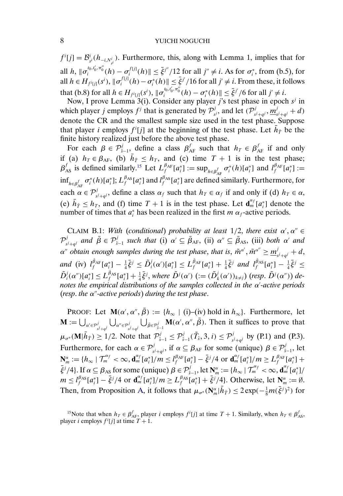<span id="page-7-0"></span> $f^i[j] = \mathcal{B}_{s^i}^i(h_{-i,N_{s^i}^i})$ . Furthermore, this, along with Lemma 1, implies that for all  $h$ ,  $\|\sigma_i^{t_0, t_0', \pi_0''}(h) - \sigma_i^{f[j]}(h)\| \leq \bar{\xi}^{j''}/12$  for all  $j'' \neq i$ . As for  $\sigma_i^*$ , from (b.5), for all  $h \in H_{f^i[j]}(s^i)$ ,  $\|\sigma_i^{f[j]}(h) - \sigma_i^*(h)\| \leq \bar{\xi}^{j'}/16$  for all  $j' \neq i$ . From these, it follows that (b.8) for all  $h \in H_{f^i[j]}(s^i)$ ,  $\|\sigma_i^{t_0, t_0', \pi_0''}(h) - \sigma_i^*(h)\| \leq \bar{\xi}^{j'}/6$  for all  $j' \neq i$ .

Now, I prove Lemma  $3(i)$ . Consider any player j's test phase in epoch  $s^j$  in which player *j* employs  $f^j$  that is generated by  $\mathcal{P}^j_{s^j}$ , and let  $(\mathcal{P}^j_{s^j+q^j}, \underline{m}^j_{s^j+q^j} + d)$ denote the CR and the smallest sample size used in the test phase. Suppose that player *i* employs  $f^{i}[j]$  at the beginning of the test phase. Let  $\bar{h}_{\bar{T}}$  be the finite history realized just before the above test phase.

For each  $\beta \in \mathcal{P}_{\hat{s}-1}^j$ , define a class  $\beta_{AF}^f$  such that  $h_T \in \beta_{AF}^f$  if and only if (a)  $h_T \in \beta_{AF}$ , (b)  $\bar{h}_{\bar{T}} \leq h_T$ , and (c) time  $T + 1$  is in the test phase;  $\beta_{\text{AS}}^f$  is defined similarly.<sup>15</sup> Let  $L_f^{\beta_{\text{AF}}}[a_i^*] := \sup_{h \in \beta_{\text{AE}}^f} \sigma_i^*(h)[a_i^*]$  and  $l_f^{\beta_{\text{AF}}}[a_i^*] :=$  $\inf_{h \in \beta_{AF}^f} \sigma_i^*(h)[a_i^*]; L_f^{\beta_{AS}}[a_i^*]$  and  $l_f^{\beta_{AS}}[a_i^*]$  are defined similarly. Furthermore, for each  $\alpha \in \mathcal{P}^j_{s^j+q^j}$ , define a class  $\alpha_f$  such that  $h_T \in \alpha_f$  if and only if (d)  $h_T \in \alpha$ , (e)  $\bar{h}_{\bar{T}} \leq h_T$ , and (f) time  $T + 1$  is in the test phase. Let  $\mathbf{d}_{m}^{\alpha_f}[a_i^*]$  denote the number of times that  $a_i^*$  has been realized in the first  $m \alpha_f$ -active periods.

CLAIM B.1: *With* (*conditional*) *probability at least*  $1/2$ *, there exist*  $\alpha'$ *,*  $\alpha'' \in$  $\mathcal{P}^j_{s^j+q^j}$  and  $\bar{\beta} \in \mathcal{P}^j_{\hat{s}-1}$  such that (i)  $\alpha' \subseteq \bar{\beta}_{AF}$ , (ii)  $\alpha'' \subseteq \bar{\beta}_{AS}$ , (iii) both  $\alpha'$  and  $\alpha''$  obtain enough samples during the test phase, that is,  $\tilde{m}^{\alpha'}$ ,  $\tilde{m}^{\alpha''}\geq \underline{m}_{s^j+q^j}^j+d,$ *and* (iv)  $l_f^{\tilde{\beta}_{\rm AF}}[a_i^*] - \frac{1}{4}\bar{\xi}^j \leq \tilde{D}_i^j(\alpha')[a_i^*] \leq L_f^{\tilde{\beta}_{\rm AF}}[a_i^*] + \frac{1}{4}\bar{\xi}^j$  *and*  $l_f^{\tilde{\beta}_{\rm AS}}[a_i^*] - \frac{1}{4}\bar{\xi}^j \leq$  $\tilde{D}_i^j(\alpha'')[a_i^*] \leq L_f^{\tilde{\beta}_{AS}}[a_i^*] + \frac{1}{4}\bar{\xi}^j$ , where  $\tilde{D}^j(\alpha')$   $(:=(\tilde{D}_k^j(\alpha'))_{k\neq j})$  (resp.  $\tilde{D}^j(\alpha'')$ ) de*notes the empirical distributions of the samples collected in the* α *-active periods*  $(resp.$  *the*  $\alpha$ <sup>*''*-active periods) during the test phase.</sup>

PROOF: Let  $\mathbf{M}(\alpha', \alpha'', \bar{\beta}) := \{h_{\infty} \mid (i) - (iv) \text{ hold in } h_{\infty}\}.$  Furthermore, let  $\mathbf{M} := \bigcup_{\alpha' \in \mathcal{P}_{s^j+q^j}^j} \bigcup_{\alpha'' \in \mathcal{P}_{s^j+q^j}^j} \bigcup_{\bar{\beta} \in \mathcal{P}_{s-1}^j} \mathbf{M}(\alpha', \alpha'', \bar{\beta})$ . Then it suffices to prove that  $\mu_{\sigma^*}(\mathbf{M}|\bar{h}_{\bar{T}}) \geq 1/2$ . Note that  $\mathcal{P}_{\hat{s}-1}^j \leq \mathcal{P}_{\hat{s}-1}^j(\tilde{T}_{\hat{s}}, 3, i) \leq \mathcal{P}_{\hat{s}^j+q^j}^j$  by (P.1) and (P.3). Furthermore, for each  $\alpha \in \mathcal{P}^j_{s^j+q^j}$ , if  $\alpha \subseteq \beta_{AF}$  for some (unique)  $\beta \in \mathcal{P}^j_{s-1}$ , let  $\mathbf{N}_{m}^{\alpha} := \{h_{\infty} \mid \mathcal{T}_{m}^{\alpha_{f}} < \infty, \mathbf{d}_{m}^{\alpha_{f}}[a_{i}^{*}]/m \leq l_{f}^{\beta_{\text{AF}}}[a_{i}^{*}] - \bar{\xi}^{j}/4 \text{ or } \mathbf{d}_{m}^{\alpha_{f}}[a_{i}^{*}]/m \geq L_{f}^{\beta_{\text{AF}}}[a_{i}^{*}] +$  $\bar{\xi}^j/4$ . If  $\alpha \subseteq \beta_{AS}$  for some (unique)  $\beta \in \mathcal{P}_{\hat{s}-1}^j$ , let  $\mathbf{N}_m^{\alpha} := \{h_{\infty} | \mathcal{T}_m^{\alpha} < \infty, \mathbf{d}_m^{\alpha} [a_i^*]\}$  $m \le l_f^{\beta_{AS}}[a_i^*] - \bar{\xi}^j/4$  or  $\mathbf{d}_m^{\alpha_f}[a_i^*]/m \ge L_f^{\beta_{AS}}[a_i^*] + \bar{\xi}^j/4$ . Otherwise, let  $\mathbf{N}_m^{\alpha} := \emptyset$ . Then, from Proposition [A,](#page-0-0) it follows that  $\mu_{\sigma^*}(\mathbf{N}_m^{\alpha}|\bar{h}_{\bar{T}}) \leq 2 \exp(-\frac{1}{8}m(\bar{\xi}^j)^2)$  for

<sup>&</sup>lt;sup>15</sup>Note that when  $h_T \in \beta_{AF}^f$ , player *i* employs  $f'[j]$  at time  $T + 1$ . Similarly, when  $h_T \in \beta_{AS}^f$ , player *i* employs  $f^{i}[j]$  at time  $T + 1$ .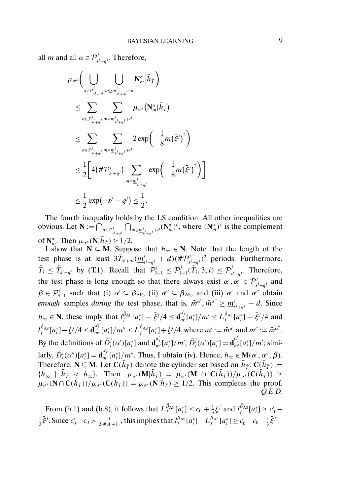all *m* and all  $\alpha \in \mathcal{P}^{j}_{s^{j}+q^{j}}$ . Therefore,

$$
\mu_{\sigma^*}\bigg(\bigcup_{\alpha\in\mathcal{P}_{s^j+q^j}^j}\bigcup_{m\geq \underline{m}_{s^j+q^j}^j+d}\mathbf{N}_m^{\alpha}\big|\bar{h}_{\bar{T}}\bigg)
$$
\n
$$
\leq \sum_{\alpha\in\mathcal{P}_{s^j+q^j}^j}\sum_{m\geq \underline{m}_{s^j+q^j}^j+d}\mu_{\sigma^*}\big(\mathbf{N}_m^{\alpha}\big|\bar{h}_{\bar{T}}\big)
$$
\n
$$
\leq \sum_{\alpha\in\mathcal{P}_{s^j+q^j}^j}\sum_{m\geq \underline{m}_{s^j+q^j}^j+d}\frac{2\exp\bigg(-\frac{1}{8}m\big(\bar{\xi}^j\big)^2\bigg)}{\frac{1}{2}\bigg[4\big(\#\mathcal{P}_{s^j+q^j}^j\big)\sum_{m\geq \underline{m}_{s^j+q^j}^j}\exp\bigg(-\frac{1}{8}m\big(\bar{\xi}^j\big)^2\bigg)\bigg]} \leq \frac{1}{2}\exp\bigg(-s^j-q^j\big)\leq \frac{1}{2}.
$$

The fourth inequality holds by the LS condition. All other inequalities are obvious. Let  $\mathbf{N} := \bigcap_{\alpha \in \mathcal{P}_{s^j+q^j}} \bigcap_{m \geq \frac{m^j}{s^j+q^j}} \bigcap_{j \neq j} (\mathbf{N}^{\alpha}_{m})^c$ , where  $(\mathbf{N}^{\alpha}_{m})^c$  is the complement of  $\mathbf{N}_{m}^{\alpha}$ . Then  $\mu_{\sigma^*}(\mathbf{N}|\bar{h}_{\bar{T}}) \geq 1/2$ .

I show that  $N ⊆ M$ . Suppose that  $h<sub>∞</sub> ∈ N$ . Note that the length of the test phase is at least  $3\tilde{T}_{s^j+q^j}(\underline{m}_{s^j+q^j}^j + d)(\# \mathcal{P}_{s^j+q^j}^j)^2$  periods. Furthermore,  $\tilde{T}_{\hat{s}} \leq \tilde{T}_{s^j+q^j}$  by (T.1). Recall that  $\mathcal{P}_{\hat{s}-1}^j \leq \mathcal{P}_{\hat{s}-1}^j(\tilde{T}_{\hat{s}}, 3, i) \leq \mathcal{P}_{s^j+q^j}^j$ . Therefore, the test phase is long enough so that there always exist  $\alpha', \alpha'' \in \mathcal{P}^j_{s^j + q^j}$  and  $\bar{\beta} \in \mathcal{P}_{\hat{s}-1}^j$  such that (i)  $\alpha' \subseteq \bar{\beta}_{AF}$ , (ii)  $\alpha'' \subseteq \bar{\beta}_{AS}$ , and (iii)  $\alpha'$  and  $\alpha''$  obtain *enough* samples *during* the test phase, that is,  $\tilde{m}^{\alpha'}$ ,  $\tilde{m}^{\alpha''} \ge \underline{m}^j_{s^j + q^j} + d$ . Since  $h_{\infty} \in \mathbb{N}$ , these imply that  $l_f^{\tilde{\beta}_{\text{AF}}}[a_i^*] - \bar{\xi}^j/4 \leq \mathbf{d}_{m'}^{a'}[a_i^*]/m' \leq L_f^{\tilde{\beta}_{\text{AF}}}[a_i^*] + \bar{\xi}^j/4$  and  $l_f^{\bar{\beta}_{AS}}[a_i^*] - \bar{\xi}^j/4 \leq \mathbf{d}_{m''}^{\alpha''_f}[a_i^*]/m'' \leq L_f^{\bar{\beta}_{AS}}[a_i^*] + \bar{\xi}^j/4$ , where  $m' := \tilde{m}^{\alpha'}$  and  $m'' := \tilde{m}^{\alpha''}.$ By the definitions of  $\tilde{D}_i^j(\alpha') [a_i^*]$  and  $\mathbf{d}_{m'}^{\alpha'}[a_i^*]/m', \tilde{D}_i^j(\alpha')[a_i^*] = \mathbf{d}_{m'}^{\alpha'}[a_i^*]/m'$ ; similarly,  $\tilde{D}_i^j(\alpha'')[a_i^*]=\mathbf{d}_{m''}^{a''_j}[a_i^*]/m''$ . Thus, I obtain (iv). Hence,  $h_{\infty} \in \mathbf{M}(\alpha', \alpha'', \bar{\beta})$ . Therefore,  $N \subseteq M$ . Let  $C(h_{\bar{T}})$  denote the cylinder set based on  $\bar{h}_{\bar{T}}$ :  $C(\bar{h}_{\bar{T}})$  :=  ${h_{\infty}}$  |  $\bar{h}_{\bar{T}} \leq h_{\infty}$ . Then  $\mu_{\sigma^*}(\mathbf{M}|\bar{h}_{\bar{T}}) = \mu_{\sigma^*}(\mathbf{M} \cap \mathbf{C}(\bar{h}_{\bar{T}}))/\mu_{\sigma^*}(\mathbf{C}(\bar{h}_{\bar{T}})) \geq$  $\mu_{\sigma^*}(\mathbf{N} \cap \mathbf{C}(\bar{h}_{\bar{T}}))/\mu_{\sigma^*}(\mathbf{C}(\bar{h}_{\bar{T}})) = \mu_{\sigma^*}(\mathbf{N} | \bar{h}_{\bar{T}}) \geq 1/2$ . This completes the proof. *Q.E.D.*

From (b.1) and (b.8), it follows that  $L_f^{\bar{\beta}_{AF}}[a_i^*] \le c_0 + \frac{1}{3}\bar{\xi}^j$  and  $l_f^{\bar{\beta}_{AS}}[a_i^*] \ge c'_0$  –  $\frac{1}{3}\bar{\xi}^j$ . Since  $c'_0 - c_0 > \frac{1}{2(\#A_i+1)}$ , this implies that  $l_f^{\tilde{\beta}_{AS}}[a_i^*] - L_f^{\tilde{\beta}_{AF}}[a_i^*] \ge c'_0 - c_0 - \frac{1}{3}\bar{\xi}^j$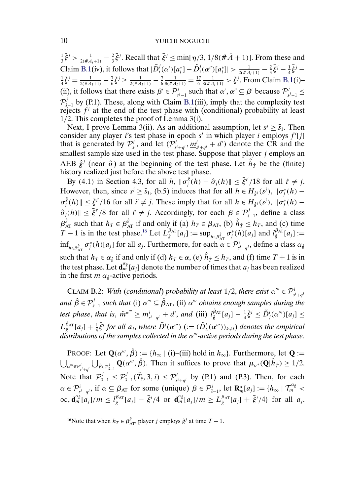<span id="page-9-0"></span> $\frac{1}{3}\bar{\xi}^j > \frac{1}{2(\#A_i+1)} - \frac{2}{3}\bar{\xi}^j$ . Recall that  $\bar{\xi}^j \le \min[\eta/3, 1/8(\#A+1)]$ . From these and Claim [B.1\(](#page-7-0)iv), it follows that  $|\tilde{D}_i^j(\alpha')[a_i^*] - \tilde{D}_i^j(\alpha'')[a_i^*]| > \frac{1}{2(\#\mathcal{A}_i+1)} - \frac{2}{3}\bar{\xi}^j - \frac{1}{4}\bar{\xi}^j$  $\frac{1}{4}\bar{\xi}^j = \frac{1}{2(\#A_i+1)} - \frac{7}{6}\bar{\xi}^j \ge \frac{1}{2(\#A_i+1)} - \frac{7}{6}\frac{1}{8(\#A_i+1)} = \frac{17}{6}\frac{1}{8(\#A_i+1)} > \bar{\xi}^j$ . From Claim [B.1\(](#page-7-0)i)-(ii), it follows that there exists  $\beta' \in \mathcal{P}_{s^j-1}^j$  such that  $\alpha', \alpha'' \subseteq \beta'$  because  $\mathcal{P}_{s^j-1}^j \leq$  $\mathcal{P}_{\hat{s}-1}^{j}$  by (P.1). These, along with Claim [B.1\(](#page-7-0)iii), imply that the complexity test rejects  $f^j$  at the end of the test phase with (conditional) probability at least 1/2. This completes the proof of Lemma 3(i).

Next, I prove Lemma 3(ii). As an additional assumption, let  $s^j \ge \bar{s}_1$ . Then consider any player *i*'s test phase in epoch  $s^i$  in which player *i* employs  $f^i[j]$ that is generated by  $\mathcal{P}_{s^i}^i$ , and let  $(\mathcal{P}_{s^i+q^i}^i, \underline{m}_{s^i+q^i}^i + d')$  denote the CR and the smallest sample size used in the test phase. Suppose that player  $j$  employs an AEB  $\hat{g}^j$  (near  $\hat{\sigma}$ ) at the beginning of the test phase. Let  $\hat{h}_{\hat{T}}$  be the (finite) history realized just before the above test phase.

By (4.1) in Section 4.3, for all h,  $\|\sigma_j^{\hat{g}}(h) - \hat{\sigma}_j(h)\| \leq \bar{\xi}^{i'}/18$  for all  $i' \neq j$ . However, then, since  $s^j \ge \bar{s}_1$ , (b.5) induces that for all  $h \in H_{\hat{g}^j}(s^j)$ ,  $\|\sigma_j^*(h) \sigma_j^{\hat{g}}(h)$   $\leq \bar{\xi}^{i'}/16$  for all  $i' \neq j$ . These imply that for all  $h \in H_{\hat{g}^j}(s^j)$ ,  $\|\sigma_j^*(h) \hat{\sigma}_j(h)$   $\leq \bar{\xi}^{i'}/8$  for all  $i' \neq j$ . Accordingly, for each  $\beta \in \mathcal{P}_{\hat{s}-1}^j$ , define a class  $\beta_{AT}^{\hat{g}}$  such that  $h_T \in \beta_{AT}^{\hat{g}}$  if and only if (a)  $h_T \in \beta_{AT}$ , (b)  $\hat{h}_{\hat{T}} \leq h_T$ , and (c) time T + 1 is in the test phase.<sup>16</sup> Let  $L_{\hat{g}}^{\beta_{AT}}[a_j] := \sup_{h \in \beta_{AT}} \sigma_j^*(h)[a_j]$  and  $l_{\hat{g}}^{\beta_{AT}}[a_j] :=$  $\inf_{h \in \beta_{\text{AT}}^{\hat{g}}} \sigma_j^*(h)[a_j]$  for all  $a_j$ . Furthermore, for each  $\alpha \in \mathcal{P}_{s^i+q^i}^i$ , define a class  $\alpha_{\hat{g}}$ such that  $h_T \in \alpha_{\hat{g}}$  if and only if (d)  $h_T \in \alpha$ , (e)  $\hat{h}_{\hat{T}} \leq h_T$ , and (f) time  $T + 1$  is in the test phase. Let  $\mathbf{d}_{m}^{\alpha_{\hat{g}}}[a_j]$  denote the number of times that  $a_j$  has been realized in the first  $m \alpha_{\hat{g}}$ -active periods.

CLAIM B.2: *With (conditional) probability at least*  $1/2$ , *there exist*  $\alpha''' \in \mathcal{P}^i_{s^i+q^i}$ and  $\hat{\beta} \in \mathcal{P}_{\hat{s}-1}^j$  *such that* (i)  $\alpha''' \subseteq \hat{\beta}_{AT}$ , (ii)  $\alpha'''$  *obtains enough samples during the* test phase, that is,  $\tilde{m}^{\alpha'''} \ge \underline{m}^i_{s^i+q^i} + d'$ , and (iii)  $l^{\hat{\beta}_{\text{AT}}}_\hat{g}[a_j] - \frac{1}{4}\bar{\xi}^i \le \tilde{D}^i_j(\alpha''')[a_j] \le$  $L_{\hat{g}}^{\hat{\beta}_{\text{AT}}}[a_j] + \frac{1}{4}\bar{\xi}^i$  for all  $a_j$ , where  $\tilde{D}^i(\alpha'')$   $(:=(\tilde{D}^i_k(\alpha'''))_{k\neq i})$  denotes the empirical distributions of the samples collected in the α<sup>*--*</sup> active periods during the test phase.

**PROOF:** Let  $\mathbf{Q}(\alpha^{\prime\prime}, \hat{\beta}) := \{h_{\infty} \mid (\mathbf{i})-(\mathbf{iii}) \text{ hold in } h_{\infty}\}.$  Furthermore, let  $\mathbf{Q} :=$  $\bigcup_{\alpha'''\in\mathcal{P}^i_{\tilde{s}^i+q^i}}\bigcup_{\hat{\beta}\in\mathcal{P}^j_{\tilde{s}-1}}\mathbf{Q}(\alpha''',\hat{\beta})$ . Then it suffices to prove that  $\mu_{\sigma^*}(\mathbf{Q}|\hat{h}_{\hat{T}}) \geq 1/2$ . Note that  $\mathcal{P}_{\hat{s}-1}^j \leq \mathcal{P}_{\hat{s}-1}^j(\tilde{T}_{\hat{s}},3,i) \leq \mathcal{P}_{s^i+q^i}^i$  by (P.1) and (P.3). Then, for each  $\alpha \in \mathcal{P}^{i}_{s^i+q^i}$ , if  $\alpha \subseteq \beta_{AT}$  for some (unique)  $\beta \in \mathcal{P}^{j}_{\hat{s}-1}$ , let  $\mathbf{R}^{\alpha}_{m}[a_j] := \{h_{\infty} | \mathcal{T}^{\alpha_{\hat{\beta}}}_{m} \leq$  $\infty, \mathbf{d}_{m}^{\alpha_{\hat{g}}}[a_{j}]/m \leq l_{\hat{g}}^{\beta_{\text{AT}}}[a_{j}] - \bar{\xi}^{i}/4$  or  $\mathbf{d}_{m}^{\alpha_{\hat{g}}}[a_{j}]/m \geq L_{\hat{g}}^{\beta_{\text{AT}}}[a_{j}] + \bar{\xi}^{i}/4$  for all  $a_{j}$ .

<sup>16</sup>Note that when  $h_T \in \beta_{AT}^{\hat{g}}$ , player *j* employs  $\hat{g}^j$  at time  $T + 1$ .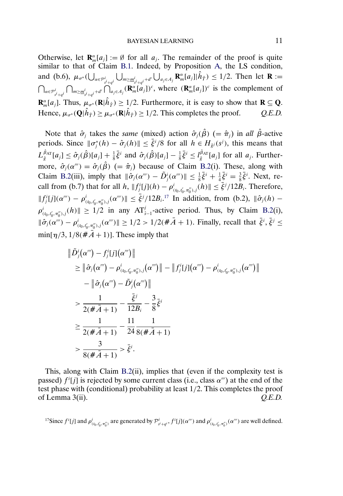Otherwise, let  $\mathbf{R}_{m}^{\alpha}[a_j] := \emptyset$  for all  $a_j$ . The remainder of the proof is quite similar to that of Claim [B.1.](#page-7-0) Indeed, by Proposition [A,](#page-0-0) the LS condition, and (b.6),  $\mu_{\sigma^*}(\bigcup_{\alpha \in \mathcal{P}_{s^i+q^i}^i} \bigcup_{m \geq m_{s^i+q^i}^i + d'} \bigcup_{a_j \in A_j} \mathbf{R}_m^{\alpha}[a_j] | \hat{h}_{\hat{T}}) \leq 1/2$ . Then let  $\mathbf{R} :=$  $\bigcap_{\alpha \in \mathcal{P}^i_{s^i+q^i}} \bigcap_{m \geq m^i_{s^i+q^i}} \bigcap_{a_j \in A_j} (\mathbf{R}^{\alpha}_{m}[a_j])^c$ , where  $(\mathbf{R}^{\alpha}_{m}[a_j])^c$  is the complement of **R**<sub>*m*</sub><sup> $\alpha$ </sup> $[n]$ . Thus,  $\mu_{\sigma^*}(\mathbf{R}|\hat{h}_{\hat{T}}) \ge 1/2$ . Furthermore, it is easy to show that **R**  $\subseteq$  **Q**. Hence,  $\mu_{\sigma^*}(\mathbf{Q}|\hat{h}_{\hat{T}}) \ge \mu_{\sigma^*}(\mathbf{R}|\hat{h}_{\hat{T}}) \ge 1/2$ . This completes the proof.  $Q.E.D.$ 

Note that  $\hat{\sigma}_i$  takes the *same* (mixed) action  $\hat{\sigma}_i(\hat{\beta})$  (=  $\hat{\pi}_i$ ) in *all*  $\hat{\beta}$ -active periods. Since  $\|\sigma_j^*(h) - \hat{\sigma}_j(h)\| \leq \bar{\xi}^i/8$  for all  $h \in H_{\hat{g}^j}(s^j)$ , this means that  $L_{\hat{g}}^{\hat{\beta}_{AT}}[a_j] \leq \hat{\sigma}_j(\hat{\beta})[a_j] + \frac{1}{8}\bar{\xi}^i$  and  $\hat{\sigma}_j(\hat{\beta})[a_j] - \frac{1}{8}\bar{\xi}^i \leq l_{\hat{g}}^{\hat{\beta}_{AT}}[a_j]$  for all  $a_j$ . Furthermore,  $\hat{\sigma}_i(\alpha^{\prime\prime}) = \hat{\sigma}_i(\hat{\beta})$  (=  $\hat{\pi}_i$ ) because of Claim [B.2\(](#page-9-0)i). These, along with Claim [B.2\(](#page-9-0)iii), imply that  $\|\hat{\sigma}_j(\alpha^m) - \tilde{D}_j^i(\alpha^m)\| \leq \frac{1}{8}\bar{\xi}^i + \frac{1}{4}\bar{\xi}^i = \frac{3}{8}\bar{\xi}^i$ . Next, recall from (b.7) that for all  $h$ ,  $||f_j^i[j](h) - \rho_{(t_0, t'_0, \pi''_0), j}(h)|| \leq \bar{\xi}^j/12B_i$ . Therefore,  $||f_j^i[j](\alpha''') - \rho_{(t_0,t'_0,\pi_0''),j}^i(\alpha'')|| \leq \bar{\xi}^j/12B_i^{17}$  In addition, from (b.2),  $||\hat{\sigma}_j(h) \rho_{(t_0,t'_0,\pi''_0),j}^i(h)$   $\geq 1/2$  in any  $AT_{\hat{s}-1}^j$ -active period. Thus, by Claim [B.2\(](#page-9-0)i),  $\|\hat{\sigma}_j(\alpha^{\prime\prime\prime}) - \rho^i_{(t_0,t_0',\pi_0''),j}(\alpha^{\prime\prime\prime})\| \geq 1/2 > 1/2(\#\bar{A}+1)$ . Finally, recall that  $\bar{\xi}^i, \bar{\xi}^j \leq$  $\min[\eta/3, 1/8(\hat{\#A}+1)]$ . These imply that

$$
\|\tilde{D}_{j}^{i}(\alpha''') - f_{j}^{i}[j](\alpha''')\|
$$
\n
$$
\geq \|\hat{\sigma}_{j}(\alpha''') - \rho_{(t_{0},t'_{0},\pi''_{0}),j}^{i}(\alpha''')\| - \|f_{j}^{i}[j](\alpha''') - \rho_{(t_{0},t'_{0},\pi''_{0}),j}^{i}(\alpha''')\|
$$
\n
$$
- \|\hat{\sigma}_{j}(\alpha''') - \tilde{D}_{j}^{i}(\alpha''')\|
$$
\n
$$
\geq \frac{1}{2(\#\bar{A}+1)} - \frac{\bar{\xi}^{j}}{12B_{i}} - \frac{3}{8}\bar{\xi}^{i}
$$
\n
$$
\geq \frac{1}{2(\#\bar{A}+1)} - \frac{11}{24}\frac{1}{8(\#\bar{A}+1)}
$$
\n
$$
> \frac{3}{8(\#\bar{A}+1)} > \bar{\xi}^{i}.
$$

This, along with Claim [B.2\(](#page-9-0)ii), implies that (even if the complexity test is passed)  $f^i[j]$  is rejected by some current class (i.e., class  $\alpha^{ij}$ ) at the end of the test phase with (conditional) probability at least 1/2. This completes the proof of Lemma 3(ii). *Q.E.D.*

<sup>17</sup>Since  $f^i[j]$  and  $\rho^i_{(t_0,t'_0,\pi''_0)}$  are generated by  $\mathcal{P}^i_{s^i+q^i}, f^i[j](\alpha''')$  and  $\rho^i_{(t_0,t'_0,\pi''_0)}(\alpha''')$  are well defined.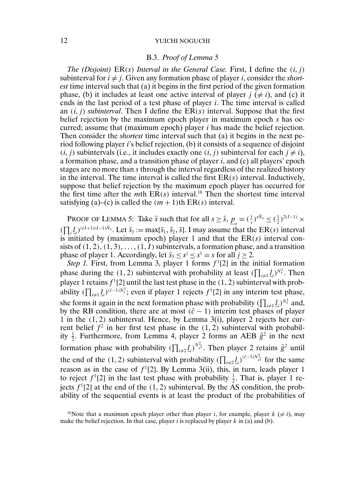### B.3. *Proof of Lemma 5*

<span id="page-11-0"></span>*The (Disjoint)*  $ER(s)$  *Interval in the General Case.* First, I define the  $(i, j)$ subinterval for  $i \neq j$ . Given any formation phase of player i, consider the *shortest* time interval such that (a) it begins in the first period of the given formation phase, (b) it includes at least one active interval of player  $j \neq i$ ), and (c) it ends in the last period of a test phase of player i. The time interval is called an  $(i, j)$  *subinterval*. Then I define the  $ER(s)$  interval. Suppose that the first belief rejection by the maximum epoch player in maximum epoch s has occurred; assume that (maximum epoch) player i has made the belief rejection. Then consider the *shortest* time interval such that (a) it begins in the next period following player i's belief rejection, (b) it consists of a sequence of disjoint  $(i, j)$  subintervals (i.e., it includes exactly one  $(i, j)$  subinterval for each  $j \neq i$ ), a formation phase, and a transition phase of player  $i$ , and  $(c)$  all players' epoch stages are no more than s through the interval regardless of the realized history in the interval. The time interval is called the first  $ER(s)$  interval. Inductively, suppose that belief rejection by the maximum epoch player has occurred for the first time after the *m*th  $ER(s)$  interval.<sup>18</sup> Then the shortest time interval satisfying (a)–(c) is called the  $(m + 1)$ th ER(s) interval.

PROOF OF LEMMA 5: Take  $\bar{s}$  such that for all  $s \ge \bar{s}$ ,  $\underline{p}_s = (\frac{1}{s})^{s\bar{N}_s} \le (\frac{1}{2})^{2(I-1)} \times$  $(\prod_i \underline{l}_i)^{(\bar{c}I+1)(I-1)\bar{N}_s}$ . Let  $\bar{s}_3 := \max[\bar{s}_1, \bar{s}_2, \bar{s}]$ . I may assume that the ER(s) interval is initiated by (maximum epoch) player 1 and that the  $ER(s)$  interval consists of  $(1, 2), (1, 3), \ldots, (1, I)$  subintervals, a formation phase, and a transition phase of player 1. Accordingly, let  $\bar{s}_3 \leq s^j \leq s^1 = s$  for all  $j \geq 2$ .

*Step 1.* First, from Lemma 3, player 1 forms  $f<sup>1</sup>[2]$  in the initial formation phase during the (1, 2) subinterval with probability at least  $(\prod_{i \neq 1} \underline{l}_i)^{N_s^1}$ . Then player 1 retains  $f^1[2]$  until the last test phase in the  $(1, 2)$  subinterval with probability  $(\prod_{i \neq 1} \underline{l}_i)^{(\bar{c}-1)N_s^1}$ ; even if player 1 rejects  $f^1[2]$  in any interim test phase, she forms it again in the next formation phase with probability  $(\prod_{i \neq 1} \underline{l}_i)^{N_s^1}$  and, by the RB condition, there are at most  $(\bar{c} - 1)$  interim test phases of player 1 in the  $(1, 2)$  subinterval. Hence, by Lemma 3(i), player 2 rejects her current belief  $f^2$  in her first test phase in the (1, 2) subinterval with probability  $\frac{1}{2}$ . Furthermore, from Lemma 4, player 2 forms an AEB  $\hat{g}^2$  in the next formation phase with probability  $(\prod_{i\neq 2} \underline{l}_i)^{N_{s^2}^2}$ . Then player 2 retains  $\hat{g}^2$  until the end of the (1, 2) subinterval with probability  $(\prod_{i \neq 2} \underline{l}_i)^{(\bar{c}-1)N_{s^2}^2}$  for the same reason as in the case of  $f<sup>1</sup>[2]$ . By Lemma 3(ii), this, in turn, leads player 1 to reject  $f^1[2]$  in the last test phase with probability  $\frac{1}{2}$ . That is, player 1 rejects  $f<sup>1</sup>[2]$  at the end of the  $(1, 2)$  subinterval. By the AS condition, the probability of the sequential events is at least the product of the probabilities of

<sup>&</sup>lt;sup>18</sup>Note that a maximum epoch player other than player *i*, for example, player  $k \neq i$ , may make the belief rejection. In that case, player  $i$  is replaced by player  $k$  in (a) and (b).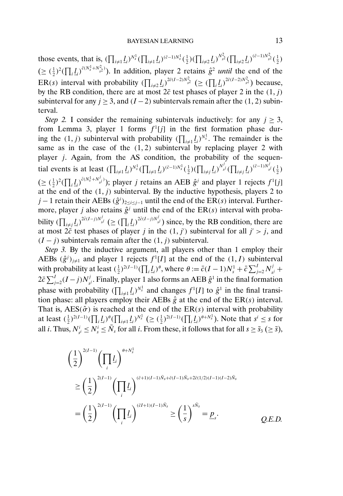those events, that is,  $(\prod_{i\neq 1} \underline{l}_i)^{N_s^1} (\prod_{i\neq 1} \underline{l}_i)^{(\bar{c}-1)N_s^1} (\frac{1}{2}) (\prod_{i\neq 2} \underline{l}_i)^{N_{s^2}^2} (\prod_{i\neq 2} \underline{l}_i)^{(\bar{c}-1)N_{s^2}^2} (\frac{1}{2})$  $(\geq (\frac{1}{2})^2 (\prod_i \underline{l}_i)^{\bar{c}(N_s^1 + N_{s^2}^2)})$ . In addition, player 2 retains  $\hat{g}^2$  *until* the end of the ER(s) interval with probability  $(\prod_{i\neq 2} l_i)^{2\tilde{c}(I-2)N_{s^2}^2} \geq (\prod_i l_i)^{2\tilde{c}(I-2)N_{s^2}^2}$  because, by the RB condition, there are at most  $2\bar{c}$  test phases of player 2 in the  $(1, j)$ subinterval for any  $j \ge 3$ , and  $(I - 2)$  subintervals remain after the (1, 2) subinterval.

*Step 2.* I consider the remaining subintervals inductively: for any  $j > 3$ , from Lemma 3, player 1 forms  $f<sup>1</sup>[j]$  in the first formation phase during the  $(1, j)$  subinterval with probability  $(\prod_{i \neq 1} \underline{l}_i)^{N_s^1}$ . The remainder is the same as in the case of the  $(1, 2)$  subinterval by replacing player 2 with player *j*. Again, from the AS condition, the probability of the sequential events is at least  $(\prod_{i \neq 1} \underline{l}_i)^{N_s^1} (\prod_{i \neq 1} \underline{l}_i)^{(\bar{c}-1)N_s^1} (\frac{1}{2}) (\prod_{i \neq j} \underline{l}_i)^{N_{sj}^j} (\prod_{i \neq j} \underline{l}_i)^{(\bar{c}-1)N_{sj}^j} (\frac{1}{2})$  $(\geq (\frac{1}{2})^2 (\prod_i \underline{l}_i)^{\bar{c}(N_s^1 + N_{s^j}^j)})$ ; player *j* retains an AEB  $\hat{g}^j$  and player 1 rejects  $f^1[j]$ at the end of the  $(1, j)$  subinterval. By the inductive hypothesis, players 2 to j – 1 retain their AEBs  $(\hat{g}^{i})_{2 \leq i \leq j-1}$  until the end of the ER(s) interval. Furthermore, player j also retains  $\hat{g}^j$  until the end of the ER(s) interval with probability  $(\prod_{i \neq j} \underline{l}_i)^{2\tilde{c}(I-j)N_{sj}^j} \geq (\prod_i \underline{l}_i)^{2\tilde{c}(I-j)N_{sj}^j}$  since, by the RB condition, there are at most  $2\vec{c}$  test phases of player j in the  $(1, j')$  subinterval for all  $j' > j$ , and  $(I - j)$  subintervals remain after the  $(1, j)$  subinterval.

*Step 3.* By the inductive argument, all players other than 1 employ their AEBs  $(\hat{g}^j)_{j\neq 1}$  and player 1 rejects  $f^1[I]$  at the end of the  $(1, I)$  subinterval with probability at least  $(\frac{1}{2})^{2(I-1)}(\prod_i \underline{l}_i)^{\theta}$ , where  $\theta := \bar{c}(I-1)N_s^1 + \bar{c}\sum_{j=2}^I N_{s^j}^j +$  $2\bar{c}\sum_{j=2}^{I}(I-j)N_{s^j}^j$ . Finally, player 1 also forms an AEB  $\hat{g}^1$  in the final formation phase with probability  $(\prod_{i \neq 1} \underline{l}_i)^{N_s^1}$  and changes  $f^1[I]$  to  $\hat{g}^1$  in the final transition phase: all players employ their AEBs  $\hat{g}$  at the end of the ER(s) interval. That is,  $\text{AES}(\hat{\sigma})$  is reached at the end of the  $\text{ER}(s)$  interval with probability at least  $(\frac{1}{2})^{2(I-1)}(\prod_i \underline{l}_i)^{\theta}(\prod_{i \neq 1} \underline{l}_i)^{N_s^1} \geq (\frac{1}{2})^{2(I-1)}(\prod_i \underline{l}_i)^{\theta + N_s^1}$ ). Note that  $s^i \leq s$  for all *i*. Thus,  $N_{s^i}^i \le N_s^i \le \bar{N}_s$  for all *i*. From these, it follows that for all  $s \ge \bar{s}_3 \ (\ge \bar{s})$ ,

$$
\left(\frac{1}{2}\right)^{2(I-1)} \left(\prod_{i} L_{i}\right)^{\theta+N_{s}^{1}}
$$
\n
$$
\geq \left(\frac{1}{2}\right)^{2(I-1)} \left(\prod_{i} L_{i}\right)^{(\bar{c}+1)(I-1)\bar{N}_{s}+\bar{c}(I-1)\bar{N}_{s}+2\bar{c}(1/2)(I-1)(I-2)\bar{N}_{s}}
$$
\n
$$
= \left(\frac{1}{2}\right)^{2(I-1)} \left(\prod_{i} L_{i}\right)^{(\bar{c}I+1)(I-1)\bar{N}_{s}} \geq \left(\frac{1}{s}\right)^{s\bar{N}_{s}} = \underline{p}_{s}.
$$
\nQ.E.D.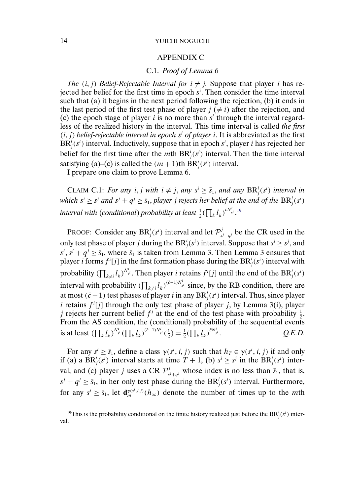## APPENDIX C

## C.1. *Proof of Lemma 6*

<span id="page-13-0"></span>*The*  $(i, j)$  *Belief-Rejectable Interval for*  $i \neq j$ . Suppose that player i has rejected her belief for the first time in epoch  $s<sup>i</sup>$ . Then consider the time interval such that (a) it begins in the next period following the rejection, (b) it ends in the last period of the first test phase of player  $j \neq i$ ) after the rejection, and (c) the epoch stage of player i is no more than  $s<sup>i</sup>$  through the interval regardless of the realized history in the interval. This time interval is called *the first*  $(i, j)$  *belief-rejectable interval in epoch*  $s<sup>i</sup>$  *of player i.* It is abbreviated as the first  $BR_j^i(s^i)$  interval. Inductively, suppose that in epoch  $s^i$ , player *i* has rejected her belief for the first time after the *m*th  $BR_j^i(s^i)$  interval. Then the time interval satisfying (a)–(c) is called the  $(m+1)$ th BR<sup>*i*</sup><sub>*j*</sub>(*s<sup><i>i*</sup>) interval.

I prepare one claim to prove Lemma 6.

CLAIM C.1: *For any i*, *j* with  $i \neq j$ , any  $s^i \geq \bar{s}_1$ , and any  $BR^i_j(s^i)$  interval in which  $s^i \geq s^j$  and  $s^j + q^j \geq \bar{s}_1$ , player  $j$  rejects her belief at the end of the  $\text{BR}_j^i(s^i)$ interval with (conditional) probability at least  $\frac{1}{2}(\prod_k \underline{l}_k)^{\tilde{c} N^i_{sl}}.^{19}$ 

PROOF: Consider any  $BR_j^i(s^i)$  interval and let  $\mathcal{P}_{s^j+q^j}^j$  be the CR used in the only test phase of player j during the  $\text{BR}_j^i(s^i)$  interval. Suppose that  $s^i \geq s^j$ , and  $s^i$ ,  $s^j + q^j \ge \bar{s}_1$ , where  $\bar{s}_1$  is taken from Lemma 3. Then Lemma 3 ensures that player *i* forms  $f^{i}[j]$  in the first formation phase during the  $BR^{i}_{j}(s^{i})$  interval with probability ( $\prod_{k\neq i}\underline{l}_k^{N^i_{sj}}.$  Then player  $i$  retains  $f^i[j]$  until the end of the  $\text{BR}^i_j(s^i)$ interval with probability  $(\prod_{k\neq i} \underline{l}_k)^{(\bar{c}-1)N^i_{s^i}}$  since, by the RB condition, there are at most ( $\bar{c}$ −1) test phases of player *i* in any BR<sup>*i*</sup><sub>*j*</sub>(s<sup>*i*</sup>) interval. Thus, since player *i* retains  $f^{i}[j]$  through the only test phase of player *j*, by Lemma 3(i), player j rejects her current belief  $f^j$  at the end of the test phase with probability  $\frac{1}{2}$ . From the AS condition, the (conditional) probability of the sequential events is at least  $(\prod_k \underline{l}_k)^{N_{s^i}^i} (\prod_k \underline{l}_k)^{(\bar{c}-1)N_{s^i}^i} (\frac{1}{2}) = \frac{1}{2} (\prod_k \underline{l}_k)^{\bar{c}N_s^i}$ si . *Q.E.D.*

For any  $s^i \ge \bar{s}_1$ , define a class  $\gamma(s^i, i, j)$  such that  $h_T \in \gamma(s^i, i, j)$  if and only if (a) a  $BR_j^i(s^i)$  interval starts at time  $T + 1$ , (b)  $s^i \ge s^j$  in the  $BR_j^i(s^i)$  interval, and (c) player *j* uses a CR  $\mathcal{P}^{j}_{s^{j}+q^{j}}$  whose index is no less than  $\bar{s}_1$ , that is,  $s^{j} + q^{j} \ge \bar{s}_{1}$ , in her only test phase during the BR<sup>*i*</sup><sub>*j*</sub>(*s<sup><i>i*</sup>) interval. Furthermore, for any  $s^i \ge \bar{s}_1$ , let  $\mathbf{d}_m^{\gamma(s^i,i,j)}(h_\infty)$  denote the number of times up to the *mth* 

<sup>&</sup>lt;sup>19</sup>This is the probability conditional on the finite history realized just before the  $\text{BR}_j^i(s^i)$  interval.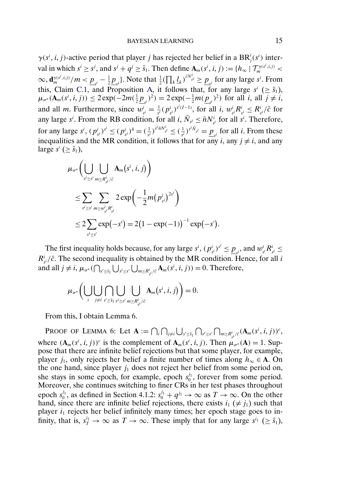$\gamma(s^i, i, j)$ -active period that player j has rejected her belief in a BR<sup>i</sup><sub>j</sub>(s<sup>i</sup>) interval in which  $s^i \ge s^j$ , and  $s^j + q^j \ge \bar{s}_1$ . Then define  $\mathbf{A}_m(s^i, i, j) := \{h_\infty \mid \mathcal{T}_m^{\gamma(s^i, i, j)} \le \bar{s}_1\}$  $\infty$ ,  $\frac{d\gamma(s^i, i, j)}{m}$  /m <  $\underline{p}_{s^i} - \frac{1}{2}\underline{p}_{s^i}$ }. Note that  $\frac{1}{2}(\prod_k \underline{l}_k)^{\bar{c}N_{s^i}^i} \ge \underline{p}_{s^i}$  for any large  $s^i$ . From this, Claim [C.1,](#page-13-0) and Proposition [A,](#page-0-0) it follows that, for any large  $s^i$  ( $\geq \bar{s}_1$ ),  $\mu_{\sigma^*}(\mathbf{A}_m(s^i, i, j)) \leq 2 \exp(-2m(\frac{1}{2}\underline{p}_{s^i})^2) = 2 \exp(-\frac{1}{2}m(\underline{p}_{s^i})^2)$  for all  $i$ , all  $j \neq i$ , and all *m*. Furthermore, since  $w_{s^i}^i = \frac{1}{s^i} (p_{s^i}^i)^{s^i(I-1)}$ , for all *i*,  $w_{s^i}^i R_{s^i}^i \leq R_{s^i}^i / \bar{c}$  for any large s<sup>i</sup>. From the RB condition, for all i,  $\overline{N}_{s^i} \leq \overline{n} N_{s^i}^i$  for all s<sup>i</sup>. Therefore, for any large  $s^i$ ,  $(p_{s^i}^i)^{s^i} \le (p_{s^i}^i)^{\bar{n}} = (\frac{1}{s^i})^{s^i \bar{n} N_{s^i}^i} \le (\frac{1}{s^i})^{s^i \bar{N}_{s^i}} = \underline{p}_{s^i}$  for all *i*. From these inequalities and the MR condition, it follows that for any  $i$ , any  $j \neq i$ , and any large  $s'$  ( $\geq \bar{s}_1$ ),

$$
\mu_{\sigma^*} \Biggl( \bigcup_{s^i \ge s'} \bigcup_{m \ge R_{s^i}^i/\bar{c}} \mathbf{A}_m(s^i, i, j) \Biggr) \n\le \sum_{s^i \ge s'} \sum_{m \ge w_{s^i}^i R_{s^i}^i} 2 \exp \Biggl( -\frac{1}{2} m (p_{s^i}^i)^{2s^i} \Biggr) \n\le 2 \sum_{s^i \ge s'} \exp (-s^i) = 2 (1 - \exp(-1))^{-1} \exp(-s').
$$

The first inequality holds because, for any large  $s^i$ ,  $(p_{s^i}^i)^{s^i} \leq \underline{p}_{s^i}$ , and  $w_{s^i}^i R_{s^i}^i \leq$  $R_{s}^{i}/\bar{c}$ . The second inequality is obtained by the MR condition. Hence, for all i and all  $j \neq i$ ,  $\mu_{\sigma^*}(\bigcap_{s' \ge \bar{s}_1} \bigcup_{s' \ge s'} \bigcup_{m \ge R_{s'}^i/\bar{c}} \mathbf{A}_m(s^i, i, j)) = 0$ . Therefore,

$$
\mu_{\sigma^*}\bigg(\bigcup_i\bigcup_{j\neq i}\bigcap_{s'\geq \bar{s}_1}\bigcup_{s':s'\leq s'}\bigcup_{m\geq R_{\bar{s}^i}/\bar{c}}\mathbf{A}_m(s^i, i, j)\bigg)=0.
$$

From this, I obtain Lemma 6.

Proof of Lemma 6: Let  $\mathbf{A} := \bigcap_i \bigcap_{j \neq i} \bigcup_{s' \geq \bar{s}_1} \bigcap_{s^i \geq s'} \bigcap_{m \geq R_{\bar{s}}^i / \bar{c}} (\mathbf{A}_m(s^i, i, j))^c$ , where  $(A_m(s^i, i, j))^c$  is the complement of  $A_m(s^i, i, j)$ . Then  $\mu_{\sigma^*}(A) = 1$ . Suppose that there are infinite belief rejections but that some player, for example, player  $j_1$ , only rejects her belief a finite number of times along  $h_{\infty} \in \mathbf{A}$ . On the one hand, since player  $j_1$  does not reject her belief from some period on, she stays in some epoch, for example, epoch  $s_0^{j_1}$ , forever from some period. Moreover, she continues switching to finer CRs in her test phases throughout epoch  $s_0^{j_1}$ , as defined in Section 4.1.2:  $s_0^{j_1} + q^{j_1} \rightarrow \infty$  as  $T \rightarrow \infty$ . On the other hand, since there are infinite belief rejections, there exists  $i_1 \neq j_1$ ) such that player  $i_1$  rejects her belief infinitely many times; her epoch stage goes to infinity, that is,  $s_T^{i_1} \to \infty$  as  $T \to \infty$ . These imply that for any large  $s^{i_1} \ (\ge \bar{s}_1)$ ,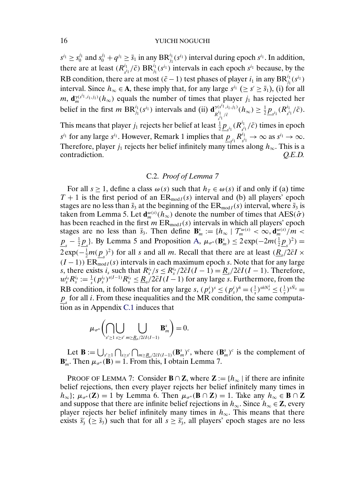$s^{i_1} \ge s_0^{j_1}$  and  $s_0^{j_1} + q^{j_1} \ge \bar{s}_1$  in any  $\text{BR}_{j_1}^{i_1}(s^{i_1})$  interval during epoch  $s^{i_1}$ . In addition, there are at least  $(R_{s_i}^{i_1}/\bar{c})$   $BR_{j_1}^{i_1}(s_i)$  intervals in each epoch  $s_i$  because, by the RB condition, there are at most  $(\bar{c} - 1)$  test phases of player  $i_1$  in any  $\text{BR}^{i_1}_{j_1}(s^{i_1})$ interval. Since  $h_{\infty} \in A$ , these imply that, for any large  $s^{i_1} \ (\geq s' \geq \bar{s}_1)$ , (i) for all *m*,  $\mathbf{d}_{m}^{\gamma(s^{i_1}, i_1, j_1)}(h_{\infty})$  equals the number of times that player  $j_1$  has rejected her belief in the first *m* BR<sup>*i*<sub>1</sub></sup>(s<sup>*i*<sub>1</sub>)</sup> intervals and (ii)  $\mathbf{d}_{R^i_1, R^i}^{\gamma(s^i_1, i_1, i_1)}$  $R_{s^{i_1}}^{i_1,i_1,i_1)}(h_\infty) \geq \frac{1}{2} \underline{p}_{s^{i_1}}(R_{s^{i_1}}^{i_1}/\bar{c}).$ This means that player  $j_1$  rejects her belief at least  $\frac{1}{2}\underline{p}_{s^{i_1}}(R^{i_1}_{s^{i_1}}/\bar{c})$  times in epoch  $s^{i_1}$  for any large  $s^{i_1}$ . However, Remark 1 implies that  $\underline{p}_{s^{i_1}} R^{i_1}_{s^{i_1}} \to \infty$  as  $s^{i_1} \to \infty$ . Therefore, player  $j_1$  rejects her belief infinitely many times along  $h_{\infty}$ . This is a contradiction. *Q.E.D.*

## C.2. *Proof of Lemma 7*

For all  $s \ge 1$ , define a class  $\omega(s)$  such that  $h_T \in \omega(s)$  if and only if (a) time  $T + 1$  is the first period of an  $ER_{mod I}(s)$  interval and (b) all players' epoch stages are no less than  $\bar{s}_3$  at the beginning of the  $ER_{mod I}(s)$  interval, where  $\bar{s}_3$  is taken from Lemma 5. Let  $\mathbf{d}_{m}^{\omega(s)}(h_{\infty})$  denote the number of times that  $\text{AES}(\hat{\sigma})$ has been reached in the first  $m \operatorname{ER}_{\mathrm{mod}I}(s)$  intervals in which all players' epoch stages are no less than  $\bar{s}_3$ . Then define  $\mathbf{B}_m^s := \{h_\infty \mid \mathcal{T}_m^{\omega(s)} < \infty, \mathbf{d}_m^{\omega(s)} / m < \infty\}$  $\underline{p}_s - \frac{1}{2}\underline{p}_s$ . By Lemma 5 and Proposition [A,](#page-0-0)  $\mu_{\sigma^*}(\mathbf{B}_m^s) \le 2 \exp(-2m(\frac{1}{2}\underline{p}_s)^2)$  $2 \exp(-\frac{1}{2}m(\underline{p_s})^2)$  for all s and all m. Recall that there are at least  $(\underline{R_s}/2\bar{c}I \times$  $(I-1)$ ) ER<sub>mod I</sub> (s) intervals in each maximum epoch s. Note that for any large s, there exists  $i_s$  such that  $R_s^{i_s}/s \leq R_s^{i_s}/2\bar{c}I(I-1) = \underline{R}_s/2\bar{c}I(I-1)$ . Therefore,  $w_s^{i_s} R_s^{i_s} := \frac{1}{s} (p_s^{i_s})^{s(I-1)} R_s^{i_s} \leq \underline{R}_s / 2 \bar{c} I(I-1)$  for any large *s*. Furthermore, from the RB condition, it follows that for any large  $s$ ,  $(p_s^i)^s \le (p_s^i)^{\bar{n}} = (\frac{1}{s})^{s\bar{n}N_s^i} \le (\frac{1}{s})^{s\bar{N}_s}$  $p<sub>s</sub>$  for all *i*. From these inequalities and the MR condition, the same computation as in Appendix [C.1](#page-13-0) induces that

$$
\mu_{\sigma^*}\bigg(\bigcap_{s'\geq 1}\bigcup_{s\geq s'}\bigcup_{m\geq \underline{R}_s/2\bar{c}I(I-1)}\mathbf{B}_m^s\bigg)=0.
$$

Let  $\mathbf{B} := \bigcup_{s' \geq 1} \bigcap_{s \geq s'} \bigcap_{m \geq R_s/2\bar{c}I(I-1)} (\mathbf{B}_m^s)^c$ , where  $(\mathbf{B}_m^s)^c$  is the complement of  $\mathbf{B}_{m}^{s}$ . Then  $\mu_{\sigma^{*}}(\mathbf{B}) = 1$ . From this, I obtain Lemma 7.

PROOF OF LEMMA 7: Consider **B** ∩ **Z**, where **Z** := { $h_{\infty}$  | if there are infinite belief rejections, then every player rejects her belief infinitely many times in  $h_{\infty}$ ;  $\mu_{\sigma^*}(\mathbf{Z}) = 1$  by Lemma 6. Then  $\mu_{\sigma^*}(\mathbf{B} \cap \mathbf{Z}) = 1$ . Take any  $h_{\infty} \in \mathbf{B} \cap \mathbf{Z}$ and suppose that there are infinite belief rejections in  $h_{\infty}$ . Since  $h_{\infty} \in \mathbb{Z}$ , every player rejects her belief infinitely many times in  $h_{\infty}$ . This means that there exists  $\bar{s}'_3$  ( $\geq \bar{s}_3$ ) such that for all  $s \geq \bar{s}'_3$ , all players' epoch stages are no less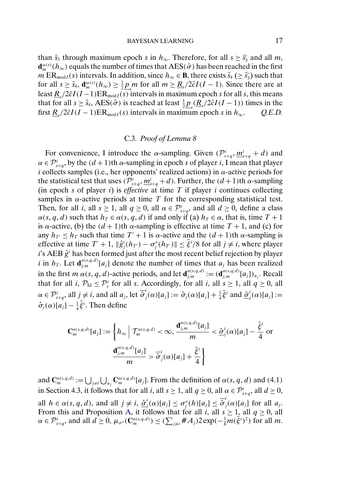<span id="page-16-0"></span>than  $\bar{s}_3$  through maximum epoch s in  $h_{\infty}$ . Therefore, for all  $s \ge \bar{s}'_3$  and all m,  $\mathbf{d}_{m}^{\omega(s)}(h_\infty)$  equals the number of times that AES( $\hat{\sigma}$ ) has been reached in the first  $m \to \mathbb{R}_{\text{mod } I}(s)$  intervals. In addition, since  $h_{\infty} \in \mathbb{B}$ , there exists  $\bar{s}_4 \ (\geq \bar{s}_3)$  such that for all  $s \ge \bar{s}_4$ ,  $\mathbf{d}_m^{\omega(s)}(h_\infty) \ge \frac{1}{2} \underline{p}_s m$  for all  $m \ge \underline{R}_s/2\bar{c}I(I-1)$ . Since there are at least  $\underline{R_s}/2\overline{c}I(I-1)ER_{mod I}(\overline{s})$  intervals in maximum epoch s for all s, this means that for all  $s \ge \bar{s}_4$ , AES( $\hat{\sigma}$ ) is reached at least  $\frac{1}{2} \underline{p}_s(\underline{R}_s/2\bar{c}I(I-1))$  times in the first  $R_s/2\bar{c}I(I-1)ER_{mod I}(s)$  intervals in maximum epoch s in  $h_\infty$ . *Q.E.D.* 

## C.3. *Proof of Lemma 8*

For convenience, I introduce the  $\alpha$ -sampling. Given  $(\mathcal{P}_{s+q}^i, \underline{m}_{s+q}^i + d)$  and  $\alpha \in \mathcal{P}_{s+q}^{i}$ , by the  $(d+1)$ th  $\alpha$ -sampling in epoch s of player i, I mean that player i collects samples (i.e., her opponents' realized actions) in  $\alpha$ -active periods for the statistical test that uses  $(\mathcal{P}_{s+q}^i, \underline{m}_{s+q}^i + d)$ . Further, the  $(d+1)$ th  $\alpha$ -sampling (in epoch  $s$  of player  $i$ ) is *effective* at time  $T$  if player  $i$  continues collecting samples in  $\alpha$ -active periods at time T for the corresponding statistical test. Then, for all *i*, all  $s \ge 1$ , all  $q \ge 0$ , all  $\alpha \in \mathcal{P}_{s+q}^i$ , and all  $d \ge 0$ , define a class  $\alpha(s, q, d)$  such that  $h_T \in \alpha(s, q, d)$  if and only if (a)  $h_T \in \alpha$ , that is, time  $T + 1$ is  $\alpha$ -active, (b) the  $(d+1)$ th  $\alpha$ -sampling is effective at time  $T + 1$ , and (c) for any  $h_{T'} \leq h_T$  such that time  $T' + 1$  is  $\alpha$ -active and the  $(d + 1)$ th  $\alpha$ -sampling is effective at time  $T' + 1$ ,  $\|\hat{g}_j^i(h_{T'}) - \sigma_j^*(h_{T'})\| \le \bar{\xi}^i/8$  for all  $j \ne i$ , where player i's AEB  $\hat{g}^i$  has been formed just after the most recent belief rejection by player i in  $h_T$ . Let  $\mathbf{d}_{j,m}^{\alpha(s,q,d)}[a_j]$  denote the number of times that  $a_j$  has been realized in the first m  $\alpha(s, q, d)$ -active periods, and let  $\mathbf{d}_{j,m}^{\alpha(s,q,d)} := (\mathbf{d}_{j,m}^{\alpha(s,q,d)}[a_j])_{a_j}$ . Recall that for all *i*,  $\mathcal{P}_{Id} \leq \mathcal{P}_{s}^{i}$  for all *s*. Accordingly, for all *i*, all  $s \geq 1$ , all  $q \geq 0$ , all  $\alpha \in \mathcal{P}_{s+q}^i$ , all  $j \neq i$ , and all  $a_j$ , let  $\overline{\hat{\sigma}}_j^i(\alpha)[a_j] := \hat{\sigma}_j(\alpha)[a_j] + \frac{1}{4}\overline{\xi}^i$  and  $\underline{\hat{\sigma}}_j^i(\alpha)[a_j] :=$  $\hat{\sigma}_j(\alpha)[a_j] - \frac{1}{4}\bar{\xi}^i$ . Then define

$$
\mathbf{C}_{m}^{\alpha(s,q,d)}[a_{j}] := \left\{ h_{\infty} \middle| \mathcal{T}_{m}^{\alpha(s,q,d)} < \infty, \frac{\mathbf{d}_{j,m}^{\alpha(s,q,d)}[a_{j}]}{m} < \frac{\hat{\sigma}^{i}_{j}(\alpha)[a_{j}] - \frac{\bar{\xi}^{i}}{4} \text{ or } \frac{\mathbf{d}_{j,m}^{\alpha(s,q,d)}[a_{j}]}{m} > \overline{\hat{\sigma}}^{i}_{j}(\alpha)[a_{j}] + \frac{\overline{\xi}^{i}}{4} \right\}
$$

and  $\mathbf{C}_m^{\alpha(s,q,d)} := \bigcup_{j \neq i} \bigcup_{a_j} \mathbf{C}_m^{\alpha(s,q,d)}[a_j]$ . From the definition of  $\alpha(s,q,d)$  and (4.1) in Section 4.3, it follows that for all *i*, all  $s \ge 1$ , all  $q \ge 0$ , all  $\alpha \in \mathcal{P}_{s+q}^i$ , all  $d \ge 0$ , all  $h \in \alpha(s, q, d)$ , and all  $j \neq i$ ,  $\underline{\hat{\sigma}}_j^i(\alpha)[a_j] \leq \sigma_j^*(h)[a_j] \leq \overline{\hat{\sigma}}_j^i(\alpha)[a_j]$  for all  $a_j$ . From this and Proposition [A,](#page-0-0) it follows that for all i, all  $s \ge 1$ , all  $q \ge 0$ , all  $\alpha \in \mathcal{P}_{s+q}^i$ , and all  $d \geq 0$ ,  $\mu_{\sigma^*}(\mathbf{C}_m^{\alpha(s,q,d)}) \leq (\sum_{j \neq i} \#A_j)2 \exp(-\frac{1}{8}m(\dot{\xi}^i)^2)$  for all m.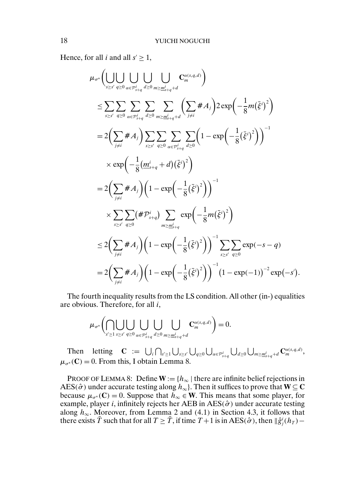Hence, for all *i* and all  $s' \geq 1$ ,

$$
\mu_{\sigma^*}\Big(\bigcup_{s\geq s'\atop s\geq 0}\bigcup_{\alpha\in\mathcal{P}_{s+q}^i}\bigcup_{d\geq 0}\bigcup_{m\geq \underline{m}_{s+q}^i+d}C_{m}^{\alpha(s,q,d)}\Big)
$$
\n
$$
\leq \sum_{s\geq s'\atop q\geq 0}\sum_{\alpha\in\mathcal{P}_{s+q}^i}\sum_{d\geq 0}\sum_{m\geq \underline{m}_{s+q}^i+d} \Big(\sum_{j\neq i} \# A_{j}\Big)2\exp\Big(-\frac{1}{8}m(\bar{\xi}^{i})^2\Big)
$$
\n
$$
= 2\Big(\sum_{j\neq i} \# A_{j}\Big)\sum_{s\geq s'}\sum_{q\geq 0}\sum_{\alpha\in\mathcal{P}_{s+q}^i}\sum_{d\geq 0} \Big(1-\exp\Big(-\frac{1}{8}(\bar{\xi}^{i})^2\Big)\Big)^{-1}
$$
\n
$$
\times \exp\Big(-\frac{1}{8}\big(\underline{m}_{s+q}^i+d\big)\big(\bar{\xi}^{i}\big)^2\Big)
$$
\n
$$
= 2\Big(\sum_{j\neq i} \# A_{j}\Big)\Big(1-\exp\Big(-\frac{1}{8}(\bar{\xi}^{i})^2\Big)\Big)^{-1}
$$
\n
$$
\times \sum_{s\geq s'}\sum_{q\geq 0} \Big(\# \mathcal{P}_{s+q}^{i}\Big)\sum_{m\geq \underline{m}_{s+q}^i}\exp\Big(-\frac{1}{8}m(\bar{\xi}^{i})^2\Big)
$$
\n
$$
\leq 2\Big(\sum_{j\neq i} \# A_{j}\Big)\Big(1-\exp\Big(-\frac{1}{8}(\bar{\xi}^{i})^2\Big)\Big)^{-1}\sum_{s\geq s'}\sum_{q\geq 0}\exp(-s-q)
$$
\n
$$
= 2\Big(\sum_{j\neq i} \# A_{j}\Big)\Big(1-\exp\Big(-\frac{1}{8}(\bar{\xi}^{i})^2\Big)\Big)^{-1}\Big(1-\exp(-1)\Big)^{-2}\exp(-s').
$$

The fourth inequality results from the LS condition. All other (in-) equalities are obvious. Therefore, for all i,

$$
\mu_{\sigma^*}\bigg(\bigcap_{s'\geq 1}\bigcup_{s\geq s'}\bigcup_{q\geq 0}\bigcup_{\alpha\in\mathcal{P}_{s+q}^i}\bigcup_{d\geq 0}\bigcup_{m\geq \underline{m}_{s+q}^i+d}C_{m}^{\alpha(s,q,d)}\bigg)=0.
$$

Then letting  $\mathbf{C} := \bigcup_i \bigcap_{s' \geq 1} \bigcup_{s \geq s'} \bigcup_{q \geq 0} \bigcup_{\alpha \in \mathcal{P}_{s+q}^i} \bigcup_{d \geq 0} \bigcup_{m \geq \underline{m}_{s+q}^i + d} \mathbf{C}_m^{\alpha(s,q,d)},$  $\mu_{\sigma^*}(\mathbf{C}) = 0$ . From this, I obtain Lemma 8.

PROOF OF LEMMA 8: Define  $W := \{h_{\infty} \mid \text{there are infinite belief rejections in }\}$ AES( $\hat{\sigma}$ ) under accurate testing along  $h_{\infty}$ ). Then it suffices to prove that **W**  $\subseteq$  **C** because  $\mu_{\sigma^*}(\mathbf{C}) = 0$ . Suppose that  $h_{\infty} \in \mathbf{W}$ . This means that some player, for example, player i, infinitely rejects her AEB in  $\text{AES}(\hat{\sigma})$  under accurate testing along  $h_{\infty}$ . Moreover, from Lemma 2 and (4.1) in Section 4.3, it follows that there exists  $\bar{T}$  such that for all  $T \geq \bar{T}$ , if time  $T + 1$  is in AES( $\hat{\sigma}$ ), then  $\|\hat{g}^i_j(h_T) -$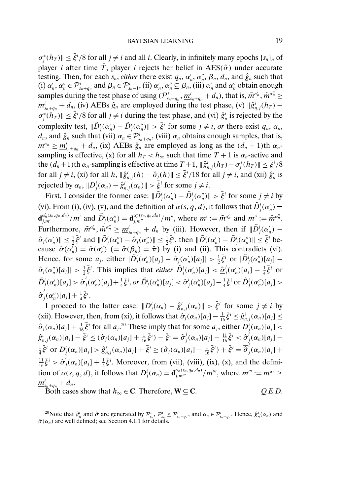$\sigma_j^*(h_T)$   $\leq \bar{\xi}^i/8$  for all  $j \neq i$  and all i. Clearly, in infinitely many epochs  $\{s_n\}_n$  of player *i* after time  $\overline{T}$ , player *i* rejects her belief in AES( $\hat{\sigma}$ ) under accurate testing. Then, for each  $s_n$ , *either* there exist  $q_n$ ,  $\alpha'_n$ ,  $\alpha''_n$ ,  $\beta_n$ ,  $d_n$ , and  $\hat{g}_n$  such that (i)  $\alpha'_n, \alpha''_n \in \mathcal{P}^i_{s_n+q_n}$  and  $\beta_n \in \mathcal{P}^i_{s_n-1}$ , (ii)  $\alpha'_n, \alpha''_n \subseteq \beta_n$ , (iii)  $\alpha'_n$  and  $\alpha''_n$  obtain enough samples during the test phase of using  $(\mathcal{P}_{s_n+q_n}^i, \underline{m}_{s_n+q_n}^i + d_n)$ , that is,  $\tilde{m}^{\alpha'_n}$ ,  $\tilde{m}^{\alpha''_n} \ge$  $\underline{m}_{s_n+q_n}^i + d_n$ , (iv) AEBs  $\hat{g}_n$  are employed during the test phase, (v)  $\|\hat{g}_{n,j}^i(h_T) \sigma_j^*(h_T)$   $\leq \bar{\xi}^i/8$  for all  $j \neq i$  during the test phase, and (vi)  $\hat{g}_n^i$  is rejected by the complexity test,  $\|\tilde{D}_j^i(\alpha'_n) - \tilde{D}_j^i(\alpha''_n)\| > \bar{\xi}^i$  for some  $j \neq i$ , *or* there exist  $q_n$ ,  $\alpha_n$ ,  $d_n$ , and  $\hat{g}_n$  such that (vii)  $\alpha_n \in \mathcal{P}_{s_n+q_n}^i$ , (viii)  $\alpha_n$  obtains enough samples, that is,  $m^{\alpha_n} \ge \underline{m}_{s_n+q_n}^i + d_n$ , (ix) AEBs  $\hat{g}_n$  are employed as long as the  $(d_n + 1)$ th  $\alpha_n$ sampling is effective, (x) for all  $h_T < h_{\infty}$  such that time  $T + 1$  is  $\alpha_n$ -active and the  $(d_n+1)$ th  $\alpha_n$ -sampling is effective at time  $T+1$ ,  $\|\hat{g}_{n,j}^i(h_T) - \sigma_j^*(h_T)\| \leq \bar{\xi}^i/8$ for all  $j \neq i$ , (xi) for all h,  $\|\hat{g}_{n,j}^i(h) - \hat{\sigma}_j(h)\| \leq \bar{\xi}^i/18$  for all  $j \neq i$ , and (xii)  $\hat{g}_n^i$  is rejected by  $\alpha_n$ ,  $||D_j^i(\alpha_n) - \hat{g}_{n,j}^i(\alpha_n)|| > \overline{\xi}^i$  for some  $j \neq i$ .

First, I consider the former case:  $\|\tilde{D}_j^i(\alpha'_n) - \tilde{D}_j^i(\alpha''_n)\| > \bar{\xi}^i$  for some  $j \neq i$  by (vi). From (i), (iv), (v), and the definition of  $\alpha(s, q, d)$ , it follows that  $\tilde{D}_j^i(\alpha'_n)$  $\mathbf{d}_{j,m'}^{\alpha'_n(s_n,q_n,d_n)}/m'$  and  $\tilde{D}_j^i(\alpha''_n) = \mathbf{d}_{j,m''}^{\alpha''_n(s_n,q_n,d_n)}/m''$ , where  $m' := \tilde{m}^{\alpha'_n}$  and  $m'' := \tilde{m}^{\alpha''_n}$ . Furthermore,  $\tilde{m}^{\alpha'_n}$ ,  $\tilde{m}^{\alpha''_n} \ge \underline{m}_{s_n+q_n}^i + d_n$  by (iii). However, then if  $\|\tilde{D}_j^i(\alpha'_n) \hat{\sigma}_j(\alpha'_n)$   $\leq \frac{1}{2}\bar{\xi}^i$  and  $\|\tilde{D}_j^i(\alpha''_n) - \hat{\sigma}_j(\alpha''_n)\| \leq \frac{1}{2}\bar{\xi}^i$ , then  $\|\tilde{D}_j^i(\alpha'_n) - \tilde{D}_j^i(\alpha''_n)\| \leq \bar{\xi}^i$  because  $\hat{\sigma}(\alpha'_n) = \hat{\sigma}(\alpha''_n)$  (=  $\hat{\sigma}(\beta_n) = \hat{\pi}$ ) by (i) and (ii). This contradicts (vi). Hence, for some  $a_j$ , either  $|\tilde{D}_j^i(\alpha'_n)[a_j] - \hat{\sigma}_j(\alpha'_n)[a_j]| > \frac{1}{2}\bar{\xi}^i$  or  $|\tilde{D}_j^i(\alpha''_n)[a_j] \hat{\sigma}_j(\alpha''_n)[a_j] > \frac{1}{2}\bar{\xi}^i$ . This implies that *either*  $\tilde{D}_j^i(\alpha'_n)[a_j] < \underline{\hat{\sigma}}_j^i(\alpha'_n)[a_j] - \frac{1}{4}\bar{\xi}^i$  or  $\tilde{D}_j^i(\alpha'_n)[a_j] > \overline{\hat{\sigma}}_j^i(\alpha'_n)[a_j] + \frac{1}{4}\overline{\xi}^i$ , or  $\tilde{D}_j^i(\alpha''_n)[a_j] < \underline{\hat{\sigma}}_j^i(\alpha''_n)[a_j] - \frac{1}{4}\overline{\xi}^i$  or  $\tilde{D}_j^i(\alpha''_n)[a_j] >$  $\overline{\hat{\sigma}}^i_j(\alpha''_n)[a_j] + \frac{1}{4}\overline{\xi}^i.$ 

I proceed to the latter case:  $||D_j^i(\alpha_n) - \hat{g}_{n,j}^i(\alpha_n)|| > \bar{\xi}^i$  for some  $j \neq i$  by (xii). However, then, from (xi), it follows that  $\hat{\sigma}_j(\alpha_n)[a_j] - \frac{1}{16}\bar{\xi}^i \leq \hat{g}_{n,j}^i(\alpha_n)[a_j] \leq$  $\hat{\sigma}_j(\alpha_n)[a_j] + \frac{1}{16}\bar{\xi}^i$  for all  $a_j$ .<sup>20</sup> These imply that for some  $a_j$ , either  $D_j^i(\alpha_n)[a_j]$  <  $\hat{g}_{n,j}^{i}(\alpha_{n})[a_{j}]-\bar{\xi}^{i} \leq (\hat{\sigma}_{j}(\alpha_{n})[a_{j}]+\frac{1}{16}\bar{\xi}^{i})-\bar{\xi}^{i}=\hat{\underline{\sigma}}_{j}^{i}(\alpha_{n})[a_{j}]-\frac{11}{16}\bar{\xi}^{i} < \hat{\underline{\sigma}}_{j}^{i}(\alpha_{n})[a_{j}] \frac{1}{4}\bar{\xi}^{i}$  or  $D_{j}^{i}(\alpha_{n})[a_{j}] > \hat{g}_{n,j}^{i}(\alpha_{n})[a_{j}] + \bar{\xi}^{i} \geq (\hat{\sigma}_{j}(\alpha_{n})[a_{j}] - \frac{1}{16}\bar{\xi}^{i}) + \bar{\xi}^{i} = \overline{\hat{\sigma}}_{j}^{i}(\alpha_{n})[a_{j}] +$  $\frac{11}{16}\bar{\xi}^i > \overline{\hat{\sigma}}^i_j(\alpha_n)[a_j] + \frac{1}{4}\bar{\xi}^i$ . Moreover, from (vii), (viii), (ix), (x), and the definition of  $\alpha(s, q, d)$ , it follows that  $D_j^i(\alpha_n) = \mathbf{d}_{j,m''}^{\alpha_n(s_n,q_n,d_n)}/m''$ , where  $m'' := m^{\alpha_n} \geq$  $\underline{m}^i_{s_n+q_n}+d_n.$ 

Both cases show that  $h_{\infty} \in \mathbb{C}$ . Therefore,  $\mathbf{W} \subseteq \mathbb{C}$ . *Q.E.D.* 

<sup>20</sup>Note that  $\hat{g}_n^i$  and  $\hat{\sigma}$  are generated by  $\mathcal{P}_{s_n}^i$ ,  $\mathcal{P}_{s_n}^i \leq \mathcal{P}_{s_n+q_n}^i$ , and  $\alpha_n \in \mathcal{P}_{s_n+q_n}^i$ . Hence,  $\hat{g}_n^i(\alpha_n)$  and  $\hat{\sigma}(\alpha_n)$  are well defined; see Section 4.1.1 for details.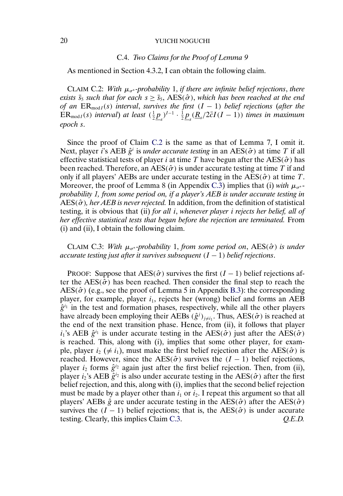## C.4. *Two Claims for the Proof of Lemma 9*

As mentioned in Section 4.3.2, I can obtain the following claim.

CLAIM C.2: *With*  $\mu_{\sigma^*}$ *-probability* 1, *if there are infinite belief rejections, there exists*  $\bar{s}_5$  *such that for each*  $s \geq \bar{s}_5$ ,  $\text{AES}(\hat{\sigma})$ , *which has been reached at the end of an*  $ER_{mod I}(s)$  *interval, survives the first*  $(I - 1)$  *belief rejections (after the*  $ER_{mod I}(s)$  interval) at least  $(\frac{1}{2}\underline{p}_s)^{I-1} \cdot \frac{1}{2}\underline{p}_s(\underline{R}_s/2\bar{c}I(I-1))$  times in maximum *epoch* s.

Since the proof of Claim C.2 is the same as that of Lemma 7, I omit it. Next, player *i*'s AEB  $\hat{g}^i$  is *under accurate testing* in an AES( $\hat{\sigma}$ ) at time T if all effective statistical tests of player *i* at time T have begun after the  $\text{AES}(\hat{\sigma})$  has been reached. Therefore, an AES( $\hat{\sigma}$ ) is under accurate testing at time T if and only if all players' AEBs are under accurate testing in the  $\text{AES}(\hat{\sigma})$  at time T. Moreover, the proof of Lemma 8 (in Appendix [C.3\)](#page-16-0) implies that (i) *with*  $\mu_{\sigma^*}$ *probability 1, from some period on, if a player's AEB is under accurate testing in*  $\overline{AES}(\hat{\sigma})$ , her AEB is never rejected. In addition, from the definition of statistical testing, it is obvious that (ii) *for all* i, *whenever player* i *rejects her belief, all of her effective statistical tests that began before the rejection are terminated.* From (i) and (ii), I obtain the following claim.

CLAIM C.3: *With*  $\mu_{\sigma^*}$ *-probability* 1, *from some period on*, AES( $\hat{\sigma}$ ) *is under accurate testing just after it survives subsequent* (I − 1) *belief rejections*.

PROOF: Suppose that  $\text{AES}(\hat{\sigma})$  survives the first  $(I - 1)$  belief rejections after the AES( $\hat{\sigma}$ ) has been reached. Then consider the final step to reach the  $\text{AES}(\hat{\sigma})$  (e.g., see the proof of Lemma 5 in Appendix [B.3\)](#page-11-0): the corresponding player, for example, player  $i_1$ , rejects her (wrong) belief and forms an AEB  $\hat{g}^{i_1}$  in the test and formation phases, respectively, while all the other players have already been employing their AEBs  $(\hat{g}^j)_{j \neq i_1}$ . Thus, AES( $\hat{\sigma}$ ) is reached at the end of the next transition phase. Hence, from (ii), it follows that player  $i_1$ 's AEB  $\hat{g}^{i_1}$  is under accurate testing in the AES( $\hat{\sigma}$ ) just after the AES( $\hat{\sigma}$ ) is reached. This, along with (i), implies that some other player, for example, player  $i_2 \neq i_1$ , must make the first belief rejection after the AES( $\hat{\sigma}$ ) is reached. However, since the AES( $\hat{\sigma}$ ) survives the (I – 1) belief rejections, player  $i_2$  forms  $\hat{g}^{i_2}$  again just after the first belief rejection. Then, from (ii), player  $i_2$ 's AEB  $\hat{g}^{i_2}$  is also under accurate testing in the AES( $\hat{\sigma}$ ) after the first belief rejection, and this, along with (i), implies that the second belief rejection must be made by a player other than  $i_1$  or  $i_2$ . I repeat this argument so that all players' AEBs  $\hat{g}$  are under accurate testing in the AES( $\hat{\sigma}$ ) after the AES( $\hat{\sigma}$ ) survives the  $(I - 1)$  belief rejections; that is, the AES( $\hat{\sigma}$ ) is under accurate testing. Clearly, this implies Claim C.3. *Q.E.D.*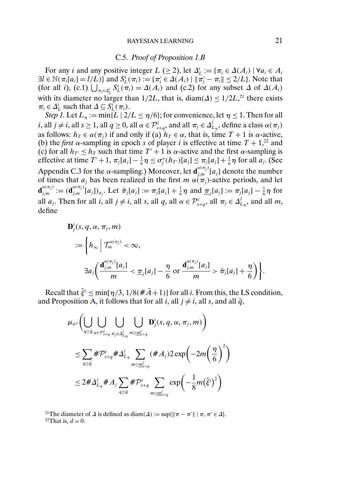#### C.5. *Proof of Proposition 1.B*

For any *i* and any positive integer  $L$  ( $\geq$  2), let  $\Delta_L^i := {\pi_i \in \Delta(A_i) \mid \forall a_i \in A_i}$  $\exists l \in \mathbb{N}(\pi_i[a_i] = l/L)\}$  and  $S_L^i(\pi_i) := {\{\pi'_i \in \Delta(A_i) \mid \|\pi'_i - \pi_i\| \leq 2/L\}}$ . Note that (for all *i*), (c.1)  $\bigcup_{\pi_i \in \Delta_L^i} S_L^i(\pi_i) = \Delta(A_i)$  and (c.2) for any subset  $\Delta$  of  $\Delta(A_i)$ with its diameter no larger than  $1/2L$ , that is, diam( $\Delta$ )  $\leq 1/2L$ ,<sup>21</sup> there exists  $\pi_i \in \Delta_L^i$  such that  $\Delta \subseteq S_L^i(\pi_i)$ .

*Step 1.* Let  $L_{\eta} := \min\{L \mid 2/L \leq \eta/6\}$ ; for convenience, let  $\eta \leq 1$ . Then for all *i*, all  $j \neq i$ , all  $s \geq 1$ , all  $q \geq 0$ , all  $\alpha \in \mathcal{P}_{s+q}^i$ , and all  $\pi_j \in \Delta_{L_{\eta}}^j$ , define a class  $\alpha(\pi_j)$ as follows:  $h_T \in \alpha(\pi_i)$  if and only if (a)  $h_T \in \alpha$ , that is, time  $T + 1$  is  $\alpha$ -active, (b) the *first*  $\alpha$ -sampling in epoch s of player i is effective at time  $T + 1$ ,<sup>22</sup> and (c) for all  $h_{T'} \leq h_T$  such that time  $T' + 1$  is  $\alpha$ -active and the first  $\alpha$ -sampling is effective at time  $T' + 1$ ,  $\pi_j[a_j] - \frac{1}{6}\eta \le \sigma_j^*(h_{T'})[a_j] \le \pi_j[a_j] + \frac{1}{6}\eta$  for all  $a_j$ . (See Appendix [C.3](#page-16-0) for the  $\alpha$ -sampling.) Moreover, let  $\mathbf{d}_{j,m}^{\alpha(\pi_j)}[a_j]$  denote the number of times that  $a_j$  has been realized in the first  $m \alpha(\pi_j)$ -active periods, and let  $\mathbf{d}_{j,m}^{a(\pi_j)} := (\mathbf{d}_{j,m}^{a(\pi_j)}[a_j])_{a_j}$ . Let  $\bar{\pi}_j[a_j] := \pi_j[a_j] + \frac{1}{6}\eta$  and  $\underline{\pi}_j[a_j] := \pi_j[a_j] - \frac{1}{6}\eta$  for all  $a_j$ . Then for all  $i$ , all  $j \neq i$ , all  $s$ , all  $q$ , all  $\alpha \in \mathcal{P}_{s+q}^i$ , all  $\pi_j \in \Delta_{L_{\eta}}^j$ , and all  $m$ , define

$$
\mathbf{D}_j^i(s, q, \alpha, \pi_j, m)
$$
  

$$
:= \left\{ h_{\infty} \middle| \mathcal{T}_m^{\alpha(\pi_j)} < \infty, \right\}
$$
  

$$
\exists a_j \left( \frac{\mathbf{d}_{j,m}^{\alpha(\pi_j)}[a_j]}{m} < \underline{\pi}_j[a_j] - \frac{\eta}{6} \text{ or } \frac{\mathbf{d}_{j,m}^{\alpha(\pi_j)}[a_j]}{m} > \bar{\pi}_j[a_j] + \frac{\eta}{6} \right) \right\}.
$$

Recall that  $\bar{\xi}^i \le \min[\eta/3, 1/8(\hat{\pi}A+1)]$  for all *i*. From this, the LS condition, and Proposition [A,](#page-0-0) it follows that for all i, all  $j \neq i$ , all s, and all  $\bar{q}$ ,

$$
\mu_{\sigma^*} \Biggl( \bigcup_{q \geq \bar{q}} \bigcup_{\alpha \in \mathcal{P}_{s+q}^i} \bigcup_{\pi_j \in \Delta_{L_{\eta}}^j} \bigcup_{m \geq \underline{m}_{s+q}^i} \mathbf{D}_j^i(s, q, \alpha, \pi_j, m) \Biggr) \n\leq \sum_{q \geq \bar{q}} \# \mathcal{P}_{s+q}^i \# \Delta_{L_{\eta}}^j \sum_{m \geq \underline{m}_{s+q}^i} (\# A_j) 2 \exp \biggl( -2m \biggl( \frac{\eta}{6} \biggr)^2 \biggr) \n\leq 2 \# \Delta_{L_{\eta}}^i \# A_j \sum_{q \geq \bar{q}} \# \mathcal{P}_{s+q}^i \sum_{m \geq \underline{m}_{s+q}^i} \exp \biggl( -\frac{1}{8} m \bigl( \bar{\xi}^i \bigr)^2 \biggr)
$$

<sup>21</sup>The diameter of  $\Delta$  is defined as diam( $\Delta$ ) := sup{ $\|\pi - \pi'\| \mid \pi, \pi' \in \Delta$ }. <sup>22</sup>That is,  $d = 0$ .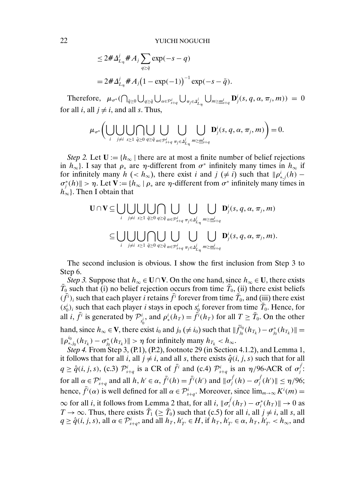$$
\leq 2 \# \Delta_{L_{\eta}}^{j} \# A_{j} \sum_{q \geq \bar{q}} \exp(-s - q)
$$
  
=  $2 \# \Delta_{L_{\eta}}^{j} \# A_{j} (1 - \exp(-1))^{-1} \exp(-s - \bar{q}).$ 

Therefore,  $\mu_{\sigma^*}(\bigcap_{\bar{q}\geq 0}\bigcup_{q\geq \bar{q}}\bigcup_{\alpha\in\mathcal{P}_{s+q}^i}\bigcup_{\pi_j\in\Delta_{L_\eta}^j}\bigcup_{m\geq \underline{m}_{s+q}^i}\mathbf{D}_j^i(s,q,\alpha,\pi_j,m))=0$ for all *i*, all  $j \neq i$ , and all *s*. Thus,

$$
\mu_{\sigma^*}\bigg(\bigcup_i\bigcup_{j\neq i}\bigcup_{s\geq 1}\bigcap_{\bar{q}\geq 0}\bigcup_{q\geq \bar{q}}\bigcup_{\alpha\in\mathcal{P}_{s+q}^i}\bigcup_{\pi_j\in\Delta_{L_{\eta}}^j}\bigcup_{m\geq \underline{m}_{s+q}^i}\mathbf{D}_j^i(s,q,\alpha,\pi_j,m)\bigg)=0.
$$

*Step 2.* Let  $U := \{h_{\infty} | \text{ there are at most a finite number of belief rejections}\}$ in  $h_{\infty}$ . I say that  $\rho_*$  are  $\eta$ -different from  $\sigma^*$  infinitely many times in  $h_{\infty}$  if for infinitely many  $h$  (<  $h_{\infty}$ ), there exist i and  $j$  ( $\neq i$ ) such that  $\|\rho_{*,j}^{i}(h) \sigma_j^*(h)$   $> \eta$ . Let  $\mathbf{V} := \{h_{\infty} \mid \rho_* \text{ are } \eta \text{-different from } \sigma^* \text{ infinitely many times in } \eta_* \}$  $h_{\infty}$ . Then I obtain that

$$
\mathbf{U} \cap \mathbf{V} \subseteq \bigcup_{i} \bigcup_{j \neq i} \bigcup_{s \geq 1} \bigcup_{\bar{q} \geq 0} \bigcap_{q \geq \bar{q}} \bigcup_{\alpha \in \mathcal{P}_{s+q}^i} \bigcup_{\pi_j \in \Delta_{L_{\eta}}^j} \bigcup_{m \geq \underline{m}_{s+q}^i} \mathbf{D}_j^i(s, q, \alpha, \pi_j, m)
$$

$$
\subseteq \bigcup_{i} \bigcup_{j \neq i} \bigcup_{s \geq 1} \bigcap_{\bar{q} \geq 0} \bigcup_{q \geq \bar{q}} \bigcup_{\alpha \in \mathcal{P}_{s+q}^i} \bigcup_{\pi_j \in \Delta_{L_{\eta}}^j} \bigcup_{m \geq \underline{m}_{s+q}^i} \mathbf{D}_j^i(s, q, \alpha, \pi_j, m).
$$

The second inclusion is obvious. I show the first inclusion from Step 3 to Step 6.

*Step 3.* Suppose that  $h_{\infty} \in \mathbf{U} \cap \mathbf{V}$ . On the one hand, since  $h_{\infty} \in \mathbf{U}$ , there exists  $\bar{T}_0$  such that (i) no belief rejection occurs from time  $\bar{T}_0$ , (ii) there exist beliefs  $(\bar{f}^i)_i$  such that each player *i* retains  $\bar{f}^i$  forever from time  $\bar{T}_0$ , and (iii) there exist  $(s_0^i)_i$  such that each player *i* stays in epoch  $s_0^i$  forever from time  $\overline{T}_0$ . Hence, for all *i*,  $\bar{f}^i$  is generated by  $\mathcal{P}^i_{s_0^i}$ , and  $\rho^i_*(h_T) = \tilde{f}^i(h_T)$  for all  $T \ge \bar{T}_0$ . On the other hand, since  $h_{\infty} \in V$ , there exist  $i_0$  and  $j_0 \neq i_0$ ) such that  $\|\tilde{f}_{j_0}^{i_0}(h_{T_k}) - \sigma_{j_0}^*(h_{T_k})\| =$  $\|\rho_{*,j_0}^{i_0}(h_{T_k})-\sigma_{j_0}^*(h_{T_k})\|>\eta$  for infinitely many  $h_{T_k}< h_{\infty}$ .

*Step 4.* From Step 3, (P.1), (P.2), footnote 29 (in Section 4.1.2), and Lemma 1, it follows that for all i, all  $j \neq i$ , and all s, there exists  $\hat{q}(i, j, s)$  such that for all  $q \ge \hat{q}(i, j, s)$ , (c.3)  $\mathcal{P}_{s+q}^{i}$  is a CR of  $\bar{f}^{i}$  and (c.4)  $\mathcal{P}_{s+q}^{i}$  is an  $\eta/96$ -ACR of  $\sigma_{j}^{f}$ : for all  $\alpha \in \mathcal{P}_{s+q}^i$  and all  $h, h' \in \alpha$ ,  $\bar{f}^i(h) = \bar{f}^i(h')$  and  $\|\sigma_j^{\bar{f}}(h) - \sigma_j^{\bar{f}}(h')\| \leq \eta/96$ ; hence,  $\bar{f}^i(\alpha)$  is well defined for all  $\alpha \in \mathcal{P}^i_{s+q}$ . Moreover, since  $\lim_{m\to\infty} K^i(m)$  =  $\infty$  for all *i*, it follows from Lemma 2 that, for all *i*,  $\|\sigma_i^{\bar{f}}(h_T) - \sigma_i^*(h_T)\| \to 0$  as  $T \to \infty$ . Thus, there exists  $\bar{T}_1 \ (\ge \bar{T}_0)$  such that (c.5) for all i, all  $j \ne i$ , all s, all  $q \ge \hat{q}(i, j, s)$ , all  $\alpha \in \mathcal{P}_{s+q}^i$ , and all  $h_T, h'_{T'} \in H$ , if  $h_T, h'_{T'} \in \alpha, h_T, h'_{T'} < h_{\infty}$ , and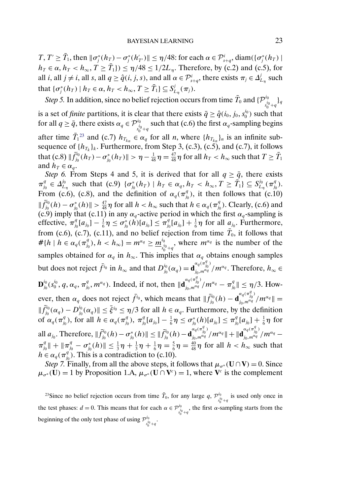T,  $T' \geq \overline{T}_1$ , then  $\|\sigma_j^*(h_T) - \sigma_j^*(h_{T'}')\| \leq \eta/48$ : for each  $\alpha \in \mathcal{P}_{s+q}^i$ , diam $(\{\sigma_j^*(h_T) \mid$  $h_T \in \alpha$ ,  $h_T < h_\infty$ ,  $T \geq \overline{T}_1$ })  $\leq \eta/48 \leq 1/2L_\eta$ . Therefore, by (c.2) and (c.5), for all *i*, all *j*  $\neq$  *i*, all *s*, all *q*  $\geq \hat{q}(i, j, s)$ , and all  $\alpha \in \mathcal{P}_{s+q}^{i}$ , there exists  $\pi_{j} \in \Delta_{L_{\eta}}^{j}$  such that  $\{\sigma_j^*(h_T) \mid h_T \in \alpha, h_T < h_\infty, T \ge \overline{T}_1\} \subseteq S_{L_\eta}^j(\pi_j).$ 

*Step 5.* In addition, since no belief rejection occurs from time  $\bar{T}_0$  and  $\{\mathcal{P}_{s_0^{i_0}+q}^{i_0}\}_q$ is a set of *finite* partitions, it is clear that there exists  $\bar{q} \ge \hat{q}(i_0, j_0, s_0^{i_0})$  such that for all  $q \ge \bar{q}$ , there exists  $\alpha_q \in \mathcal{P}_{s_0^{i_0}+q}^{i_0}$  such that (c.6) the first  $\alpha_q$ -sampling begins after time  $\bar{T}_1^{23}$  and (c.7)  $h_{T_{k_n}} \in \alpha_q$  for all *n*, where  $\{h_{T_{k_n}}\}_n$  is an infinite subsequence of  $\{h_{T_k}\}_k$ . Furthermore, from Step 3, (c.3), (c.5), and (c.7), it follows that (c.8)  $\|\bar{f}_{j_0}^{i_0}(h_T)-\sigma_{j_0}^*(h_T)\|>\eta-\frac{1}{48}\eta=\frac{47}{48}\eta$  for all  $h_T < h_{\infty}$  such that  $T\geq \bar{T}_1$ and  $h_T \in \alpha_q$ .

*Step 6.* From Steps 4 and 5, it is derived that for all  $q \ge \bar{q}$ , there exists  $\pi_{j_0}^q \in \Delta_{L_{\eta}}^{j_0}$  such that (c.9)  $\{\sigma_{j_0}^*(h_T) \mid h_T \in \alpha_q, h_T < h_{\infty}, T \geq \overline{T}_1\} \subseteq S_{L_{\eta}}^{j_0}(\pi_{j_0}^q)$ . From (c.6), (c.8), and the definition of  $\alpha_q(\pi_{j_0}^q)$ , it then follows that (c.10)  $\|\bar{f}_{j_0}^{i_0}(h) - \sigma_{j_0}^*(h)\| > \frac{47}{48}\eta$  for all  $h < h_{\infty}$  such that  $h \in \alpha_q(\pi_{j_0}^q)$ . Clearly, (c.6) and (c.9) imply that (c.11) in any  $\alpha_q$ -active period in which the first  $\alpha_q$ -sampling is effective,  $\pi_{j_0}^q[a_{j_0}] - \frac{1}{6}\eta \le \sigma_{j_0}^*(h)[a_{j_0}] \le \pi_{j_0}^q[a_{j_0}] + \frac{1}{6}\eta$  for all  $a_{j_0}$ . Furthermore, from (c.6), (c.7), (c.11), and no belief rejection from time  $\bar{T}_0$ , it follows that  $\# \{h\mid h\in \alpha_q(\pi^q_{j_0}), h< h_{\infty}\}=m^{\alpha_q}\geq \underline{m}^{i_0}_{j_0}$  $\frac{a_0}{s_0^{i_0}+q}$ , where  $m^{\alpha_q}$  is the number of the samples obtained for  $\alpha_q$  in  $h_{\infty}$ . This implies that  $\alpha_q$  obtains enough samples but does not reject  $\bar{f}^{i_0}$  in  $h_{\infty}$  and that  $D_{j_0}^{i_0}(\alpha_q) = \mathbf{d}_{j_0,m^{\alpha_q}}^{\alpha_q(\pi_{j_0}^q)}/m^{\alpha_q}$ . Therefore,  $h_{\infty} \in$  ${\bf D}_{j_0}^{i_0}(s_0^{i_0},q,\alpha_q,\pi_{j_0}^q,m^{\alpha_q})$ . Indeed, if not, then  $\|{\bf d}_{j_0,m^{\alpha_q}}^{a_q(\pi_{j_0}^q)}/m^{\alpha_q}-\pi_{j_0}^q\|\leq \eta/3$ . However, then  $\alpha_q$  does not reject  $\bar{f}^{i_0}$ , which means that  $\|\bar{f}^{i_0}_{j_0}(h) - \mathbf{d}^{\alpha_q(\pi_{j_0}^q)}_{j_0,m^{\alpha_q}}/m^{\alpha_q}\| =$  $\|\bar{f}_{j_0}^{i_0}(\alpha_q) - D_{j_0}^{i_0}(\alpha_q)\| \leq \bar{\xi}^{i_0} \leq \eta/3$  for all  $h \in \alpha_q$ . Furthermore, by the definition of  $\alpha_q(\pi_{j_0}^q)$ , for all  $h \in \alpha_q(\pi_{j_0}^q)$ ,  $\pi_{j_0}^q[a_{j_0}] - \frac{1}{6}\eta \le \sigma_{j_0}^*(h)[a_{j_0}] \le \pi_{j_0}^q[a_{j_0}] + \frac{1}{6}\eta$  for all  $a_{j_0}$ . Therefore,  $\|\bar{f}_{j_0}^{i_0}(h) - \sigma_{j_0}^*(h)\| \leq \|\bar{f}_{j_0}^{i_0}(h) - \mathbf{d}_{j_0,m^{\alpha q}}^{\alpha_q(\pi_{j_0}^q)}/m^{\alpha_q}\| + \|\mathbf{d}_{j_0,m^{\alpha q}}^{\alpha_q(\pi_{j_0}^q)}/m^{\alpha_q} \pi_{j_0}^q \| + \| \pi_{j_0}^q - \sigma_{j_0}^*(h) \| \le \frac{1}{3}\eta + \frac{1}{3}\eta + \frac{1}{6}\eta = \frac{5}{6}\eta = \frac{40}{48}\eta$  for all  $h < h_{\infty}$  such that  $h \in \alpha_q(\pi_{j_0}^q)$ . This is a contradiction to (c.10).

*Step 7.* Finally, from all the above steps, it follows that  $\mu_{\sigma^*}(\mathbf{U} \cap \mathbf{V}) = 0$ . Since  $\mu_{\sigma^*}(\mathbf{U}) = 1$  by Proposition 1.A,  $\mu_{\sigma^*}(\mathbf{U} \cap \mathbf{V}^c) = 1$ , where  $\mathbf{V}^c$  is the complement

<sup>23</sup>Since no belief rejection occurs from time  $\bar{T}_0$ , for any large  $q$ ,  $\mathcal{P}_{s_0^{i_0}+q}^{i_0}$  is used only once in the test phases:  $d = 0$ . This means that for each  $\alpha \in \mathcal{P}_{s_0^{i_0}+q}^{i_0}$ , the first  $\alpha$ -sampling starts from the beginning of the only test phase of using  $\mathcal{P}_{s_0^{i_0}+q}^{i_0}$ .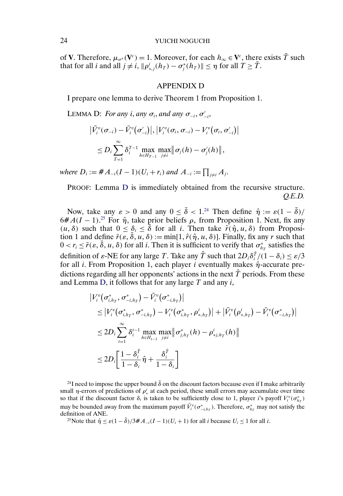<span id="page-23-0"></span>of **V**. Therefore,  $\mu_{\sigma^*}(\mathbf{V}^c) = 1$ . Moreover, for each  $h_{\infty} \in \mathbf{V}^c$ , there exists  $\overline{T}$  such that for all *i* and all  $j \neq i$ ,  $\|\rho_{*,j}^i(h_T) - \sigma_j^*(h_T)\| \leq \eta$  for all  $T \geq \overline{T}$ .

#### APPENDIX D

I prepare one lemma to derive Theorem 1 from Proposition 1.

LEMMA D: *For any i*, *any*  $\sigma_i$ , *and any*  $\sigma_{-i}$ ,  $\sigma'_{-i}$ ,

$$
\left|\bar{V}_i^v(\sigma_{-i}) - \bar{V}_i^v(\sigma'_{-i})\right|, \left|V_i^v(\sigma_i, \sigma_{-i}) - V_i^v(\sigma_i, \sigma'_{-i})\right|
$$
  

$$
\leq D_i \sum_{T=1}^{\infty} \delta_i^{T-1} \max_{h \in H_{T-1}} \max_{j \neq i} \left|\sigma_j(h) - \sigma'_j(h)\right|,
$$

*where*  $D_i := #A_{-i}(I-1)(U_i + r_i)$  and  $A_{-i} := \prod_{j \neq i} A_j$ .

PROOF: Lemma D is immediately obtained from the recursive structure. *Q.E.D.*

Now, take any  $\varepsilon > 0$  and any  $0 \le \bar{\delta} < 1^{24}$  Then define  $\hat{\eta} := \varepsilon (1 - \bar{\delta})/2$  $6#A(I-1).^{25}$  For  $\hat{\eta}$ , take prior beliefs  $\rho_*$  from Proposition 1. Next, fix any  $(u, \delta)$  such that  $0 \leq \delta_i \leq \delta$  for all i. Then take  $\hat{r}(\hat{\eta}, u, \delta)$  from Proposition 1 and define  $\bar{r}(\varepsilon, \delta, u, \delta) := \min[1, \hat{r}(\hat{\eta}, u, \delta)]$ . Finally, fix any r such that  $0 < r_i \le \bar{r}(\varepsilon, \bar{\delta}, u, \delta)$  for all *i*. Then it is sufficient to verify that  $\sigma_{h}^*$  satisfies the definition of  $\varepsilon$ -NE for any large T. Take any  $\hat{T}$  such that  $2D_i\delta_i^{\hat{T}}/(1-\delta_i) \leq \varepsilon/3$ for all *i*. From Proposition 1, each player *i* eventually makes  $\hat{\eta}$ -accurate predictions regarding all her opponents' actions in the next  $\hat{T}$  periods. From these and Lemma D, it follows that for any large  $T$  and any  $i$ ,

$$
\begin{aligned} &\left|V_i^v(\sigma_{i,h_T}^*,\sigma_{-i,h_T}^*)-\bar{V}_i^v(\sigma_{-i,h_T}^*)\right|\\ &\leq \left|V_i^v(\sigma_{i,h_T}^*,\sigma_{-i,h_T}^*)-V_i^v(\sigma_{i,h_T}^*,\rho_{*,h_T}^i)\right|+\left|\bar{V}_i^v(\rho_{*,h_T}^i)-\bar{V}_i^v(\sigma_{-i,h_T}^*)\right|\\ &\leq 2D_i\sum_{t=1}^{\infty}\delta_i^{t-1}\max_{h\in H_{t-1}}\max_{j\neq i}\left|\sigma_{j,h_T}^*(h)-\rho_{*,h_T}^i(h)\right|\\ &\leq 2D_i\left[\frac{1-\delta_i^{\hat{T}}}{1-\delta_i}\hat{\eta}+\frac{\delta_i^{\hat{T}}}{1-\delta_i}\right] \end{aligned}
$$

<sup>24</sup>I need to impose the upper bound  $\bar{\delta}$  on the discount factors because even if I make arbitrarily small  $\eta$ -errors of predictions of  $\rho_*^i$  at each period, these small errors may accumulate over time so that if the discount factor  $\delta_i$  is taken to be sufficiently close to 1, player *i*'s payoff  $V_i^v(\sigma_{h_T}^*)$ may be bounded away from the maximum payoff  $\bar{V}_i^v(\sigma_{-i,h_T}^*)$ . Therefore,  $\sigma_{h_T}^*$  may not satisfy the definition of ANE.

<sup>25</sup>Note that  $\hat{\eta} \leq \varepsilon (1 - \bar{\delta})/3 \# A_{-i}(I - 1)(U_i + 1)$  for all *i* because  $U_i \leq 1$  for all *i*.